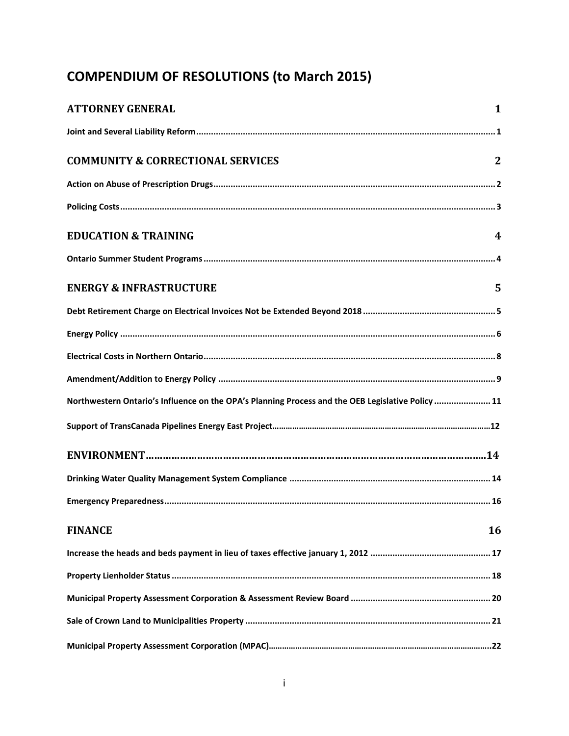# **COMPENDIUM OF RESOLUTIONS (to March 2015)**

| <b>ATTORNEY GENERAL</b>                                                                           | $\mathbf{1}$   |
|---------------------------------------------------------------------------------------------------|----------------|
|                                                                                                   |                |
| <b>COMMUNITY &amp; CORRECTIONAL SERVICES</b>                                                      | $\overline{2}$ |
|                                                                                                   |                |
|                                                                                                   |                |
| <b>EDUCATION &amp; TRAINING</b>                                                                   | 4              |
|                                                                                                   |                |
| <b>ENERGY &amp; INFRASTRUCTURE</b>                                                                | 5              |
|                                                                                                   |                |
|                                                                                                   |                |
|                                                                                                   |                |
|                                                                                                   |                |
| Northwestern Ontario's Influence on the OPA's Planning Process and the OEB Legislative Policy  11 |                |
|                                                                                                   |                |
|                                                                                                   |                |
|                                                                                                   |                |
|                                                                                                   |                |
| <b>FINANCE</b>                                                                                    | 16             |
|                                                                                                   |                |
|                                                                                                   |                |
|                                                                                                   |                |
|                                                                                                   |                |
|                                                                                                   |                |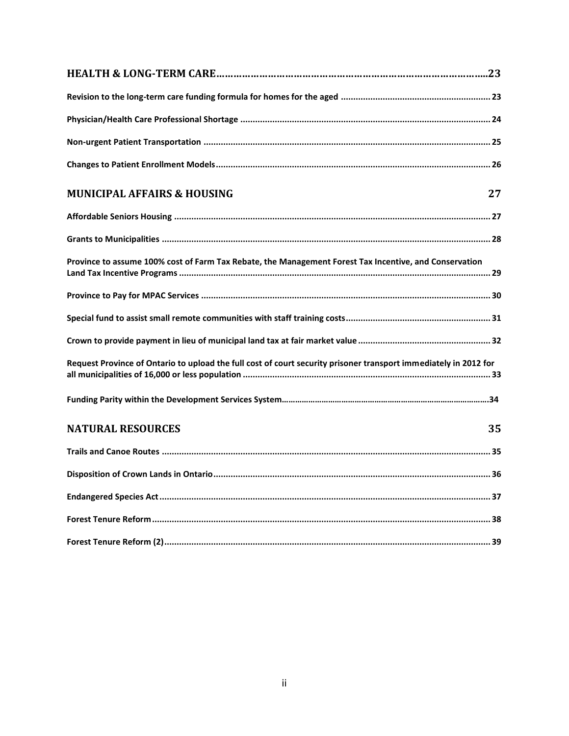| <b>MUNICIPAL AFFAIRS &amp; HOUSING</b>                                                                           | 27 |
|------------------------------------------------------------------------------------------------------------------|----|
|                                                                                                                  |    |
|                                                                                                                  |    |
| Province to assume 100% cost of Farm Tax Rebate, the Management Forest Tax Incentive, and Conservation           |    |
|                                                                                                                  |    |
|                                                                                                                  |    |
|                                                                                                                  |    |
| Request Province of Ontario to upload the full cost of court security prisoner transport immediately in 2012 for |    |
|                                                                                                                  |    |
| <b>NATURAL RESOURCES</b>                                                                                         | 35 |
|                                                                                                                  |    |
|                                                                                                                  |    |
|                                                                                                                  |    |
|                                                                                                                  |    |
|                                                                                                                  |    |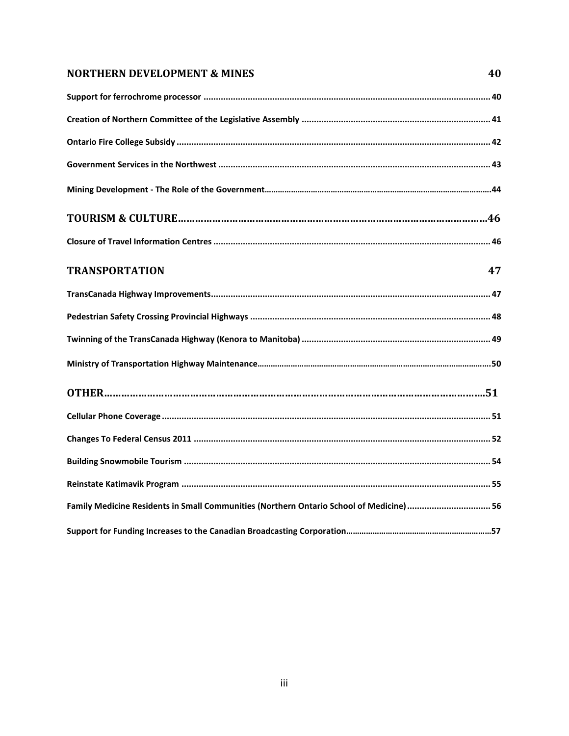### **[NORTHERN DEVELOPMENT](#page-42-0) & MINES 40**

| <b>TRANSPORTATION</b><br>47                                                             |
|-----------------------------------------------------------------------------------------|
|                                                                                         |
|                                                                                         |
|                                                                                         |
|                                                                                         |
|                                                                                         |
|                                                                                         |
|                                                                                         |
|                                                                                         |
|                                                                                         |
| Family Medicine Residents in Small Communities (Northern Ontario School of Medicine) 56 |
|                                                                                         |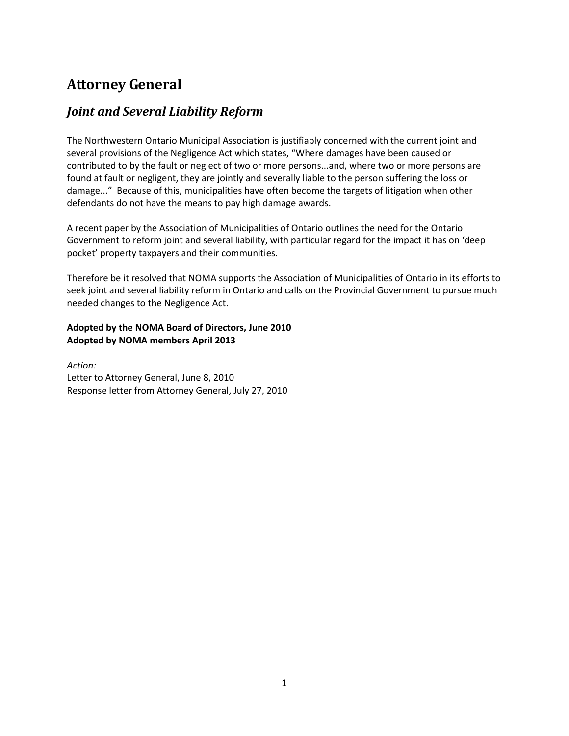# <span id="page-3-0"></span>**Attorney General**

### <span id="page-3-1"></span>*Joint and Several Liability Reform*

The Northwestern Ontario Municipal Association is justifiably concerned with the current joint and several provisions of the Negligence Act which states, "Where damages have been caused or contributed to by the fault or neglect of two or more persons...and, where two or more persons are found at fault or negligent, they are jointly and severally liable to the person suffering the loss or damage..." Because of this, municipalities have often become the targets of litigation when other defendants do not have the means to pay high damage awards.

A recent paper by the Association of Municipalities of Ontario outlines the need for the Ontario Government to reform joint and several liability, with particular regard for the impact it has on 'deep pocket' property taxpayers and their communities.

Therefore be it resolved that NOMA supports the Association of Municipalities of Ontario in its efforts to seek joint and several liability reform in Ontario and calls on the Provincial Government to pursue much needed changes to the Negligence Act.

#### **Adopted by the NOMA Board of Directors, June 2010 Adopted by NOMA members April 2013**

*Action:* Letter to Attorney General, June 8, 2010 Response letter from Attorney General, July 27, 2010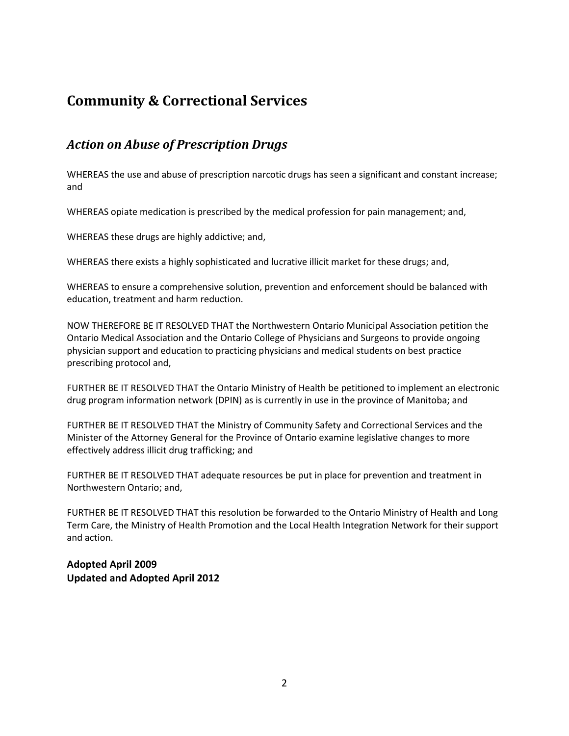# <span id="page-4-0"></span>**Community & Correctional Services**

# <span id="page-4-1"></span>*Action on Abuse of Prescription Drugs*

WHEREAS the use and abuse of prescription narcotic drugs has seen a significant and constant increase; and

WHEREAS opiate medication is prescribed by the medical profession for pain management; and,

WHEREAS these drugs are highly addictive; and,

WHEREAS there exists a highly sophisticated and lucrative illicit market for these drugs; and,

WHEREAS to ensure a comprehensive solution, prevention and enforcement should be balanced with education, treatment and harm reduction.

NOW THEREFORE BE IT RESOLVED THAT the Northwestern Ontario Municipal Association petition the Ontario Medical Association and the Ontario College of Physicians and Surgeons to provide ongoing physician support and education to practicing physicians and medical students on best practice prescribing protocol and,

FURTHER BE IT RESOLVED THAT the Ontario Ministry of Health be petitioned to implement an electronic drug program information network (DPIN) as is currently in use in the province of Manitoba; and

FURTHER BE IT RESOLVED THAT the Ministry of Community Safety and Correctional Services and the Minister of the Attorney General for the Province of Ontario examine legislative changes to more effectively address illicit drug trafficking; and

FURTHER BE IT RESOLVED THAT adequate resources be put in place for prevention and treatment in Northwestern Ontario; and,

FURTHER BE IT RESOLVED THAT this resolution be forwarded to the Ontario Ministry of Health and Long Term Care, the Ministry of Health Promotion and the Local Health Integration Network for their support and action.

**Adopted April 2009 Updated and Adopted April 2012**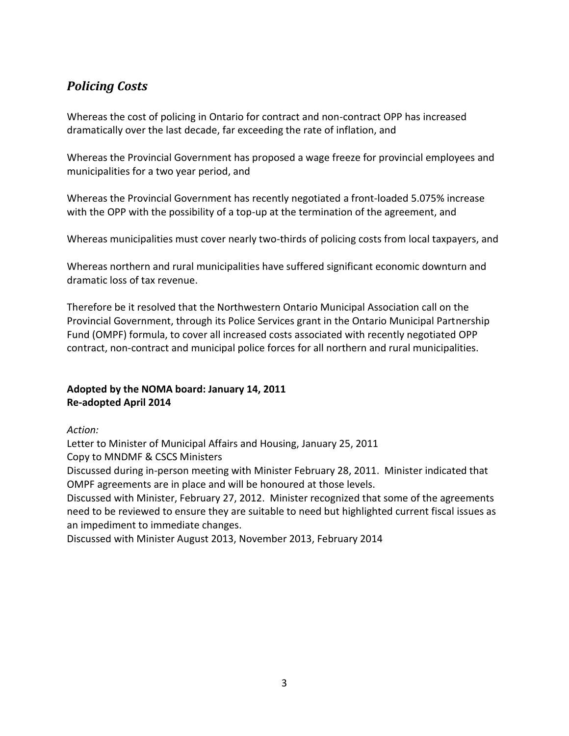# <span id="page-5-0"></span>*Policing Costs*

Whereas the cost of policing in Ontario for contract and non-contract OPP has increased dramatically over the last decade, far exceeding the rate of inflation, and

Whereas the Provincial Government has proposed a wage freeze for provincial employees and municipalities for a two year period, and

Whereas the Provincial Government has recently negotiated a front-loaded 5.075% increase with the OPP with the possibility of a top-up at the termination of the agreement, and

Whereas municipalities must cover nearly two-thirds of policing costs from local taxpayers, and

Whereas northern and rural municipalities have suffered significant economic downturn and dramatic loss of tax revenue.

Therefore be it resolved that the Northwestern Ontario Municipal Association call on the Provincial Government, through its Police Services grant in the Ontario Municipal Partnership Fund (OMPF) formula, to cover all increased costs associated with recently negotiated OPP contract, non-contract and municipal police forces for all northern and rural municipalities.

### **Adopted by the NOMA board: January 14, 2011 Re-adopted April 2014**

*Action:*

Letter to Minister of Municipal Affairs and Housing, January 25, 2011

Copy to MNDMF & CSCS Ministers

Discussed during in-person meeting with Minister February 28, 2011. Minister indicated that OMPF agreements are in place and will be honoured at those levels.

Discussed with Minister, February 27, 2012. Minister recognized that some of the agreements need to be reviewed to ensure they are suitable to need but highlighted current fiscal issues as an impediment to immediate changes.

Discussed with Minister August 2013, November 2013, February 2014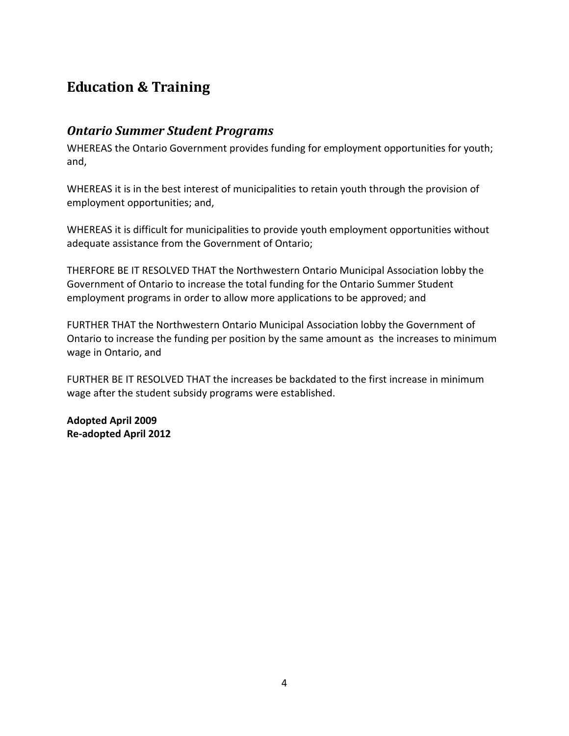# <span id="page-6-0"></span>**Education & Training**

### <span id="page-6-1"></span>*Ontario Summer Student Programs*

WHEREAS the Ontario Government provides funding for employment opportunities for youth; and,

WHEREAS it is in the best interest of municipalities to retain youth through the provision of employment opportunities; and,

WHEREAS it is difficult for municipalities to provide youth employment opportunities without adequate assistance from the Government of Ontario;

THERFORE BE IT RESOLVED THAT the Northwestern Ontario Municipal Association lobby the Government of Ontario to increase the total funding for the Ontario Summer Student employment programs in order to allow more applications to be approved; and

FURTHER THAT the Northwestern Ontario Municipal Association lobby the Government of Ontario to increase the funding per position by the same amount as the increases to minimum wage in Ontario, and

FURTHER BE IT RESOLVED THAT the increases be backdated to the first increase in minimum wage after the student subsidy programs were established.

**Adopted April 2009 Re-adopted April 2012**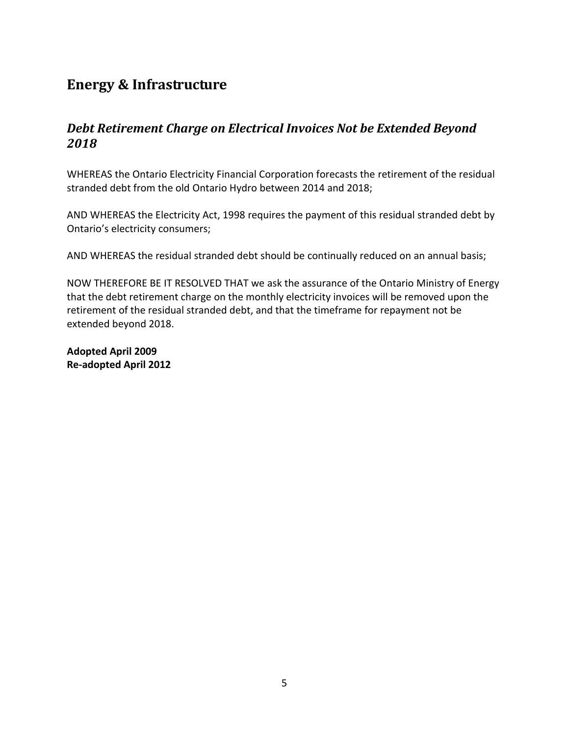# <span id="page-7-0"></span>**Energy & Infrastructure**

## <span id="page-7-1"></span>*Debt Retirement Charge on Electrical Invoices Not be Extended Beyond 2018*

WHEREAS the Ontario Electricity Financial Corporation forecasts the retirement of the residual stranded debt from the old Ontario Hydro between 2014 and 2018;

AND WHEREAS the Electricity Act, 1998 requires the payment of this residual stranded debt by Ontario's electricity consumers;

AND WHEREAS the residual stranded debt should be continually reduced on an annual basis;

NOW THEREFORE BE IT RESOLVED THAT we ask the assurance of the Ontario Ministry of Energy that the debt retirement charge on the monthly electricity invoices will be removed upon the retirement of the residual stranded debt, and that the timeframe for repayment not be extended beyond 2018.

**Adopted April 2009 Re-adopted April 2012**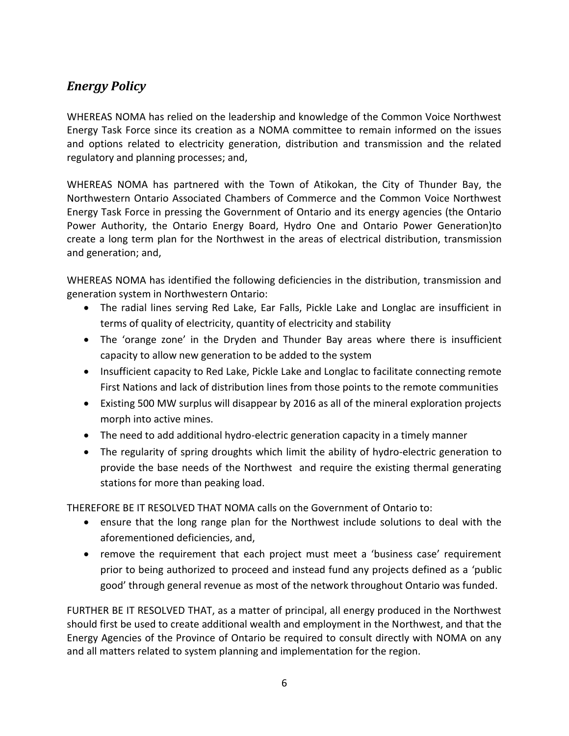# <span id="page-8-0"></span>*Energy Policy*

WHEREAS NOMA has relied on the leadership and knowledge of the Common Voice Northwest Energy Task Force since its creation as a NOMA committee to remain informed on the issues and options related to electricity generation, distribution and transmission and the related regulatory and planning processes; and,

WHEREAS NOMA has partnered with the Town of Atikokan, the City of Thunder Bay, the Northwestern Ontario Associated Chambers of Commerce and the Common Voice Northwest Energy Task Force in pressing the Government of Ontario and its energy agencies (the Ontario Power Authority, the Ontario Energy Board, Hydro One and Ontario Power Generation)to create a long term plan for the Northwest in the areas of electrical distribution, transmission and generation; and,

WHEREAS NOMA has identified the following deficiencies in the distribution, transmission and generation system in Northwestern Ontario:

- The radial lines serving Red Lake, Ear Falls, Pickle Lake and Longlac are insufficient in terms of quality of electricity, quantity of electricity and stability
- The 'orange zone' in the Dryden and Thunder Bay areas where there is insufficient capacity to allow new generation to be added to the system
- Insufficient capacity to Red Lake, Pickle Lake and Longlac to facilitate connecting remote First Nations and lack of distribution lines from those points to the remote communities
- Existing 500 MW surplus will disappear by 2016 as all of the mineral exploration projects morph into active mines.
- The need to add additional hydro-electric generation capacity in a timely manner
- The regularity of spring droughts which limit the ability of hydro-electric generation to provide the base needs of the Northwest and require the existing thermal generating stations for more than peaking load.

THEREFORE BE IT RESOLVED THAT NOMA calls on the Government of Ontario to:

- ensure that the long range plan for the Northwest include solutions to deal with the aforementioned deficiencies, and,
- remove the requirement that each project must meet a 'business case' requirement prior to being authorized to proceed and instead fund any projects defined as a 'public good' through general revenue as most of the network throughout Ontario was funded.

FURTHER BE IT RESOLVED THAT, as a matter of principal, all energy produced in the Northwest should first be used to create additional wealth and employment in the Northwest, and that the Energy Agencies of the Province of Ontario be required to consult directly with NOMA on any and all matters related to system planning and implementation for the region.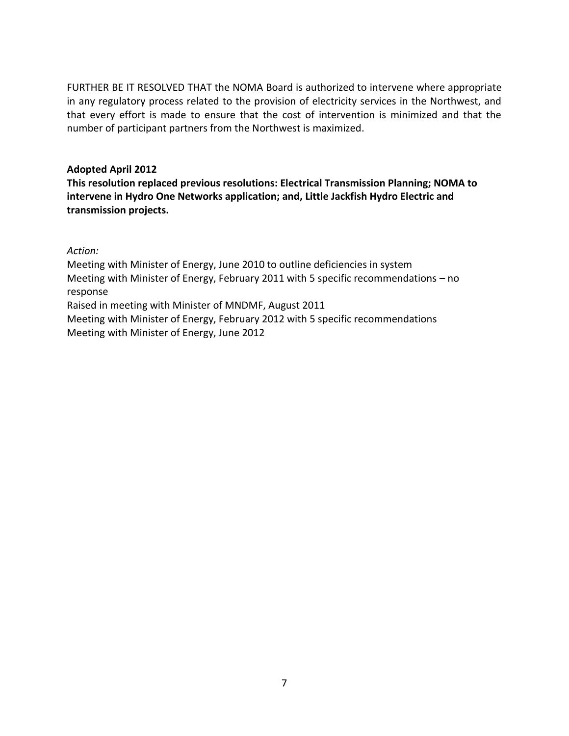FURTHER BE IT RESOLVED THAT the NOMA Board is authorized to intervene where appropriate in any regulatory process related to the provision of electricity services in the Northwest, and that every effort is made to ensure that the cost of intervention is minimized and that the number of participant partners from the Northwest is maximized.

#### **Adopted April 2012**

**This resolution replaced previous resolutions: Electrical Transmission Planning; NOMA to intervene in Hydro One Networks application; and, Little Jackfish Hydro Electric and transmission projects.**

*Action:*

Meeting with Minister of Energy, June 2010 to outline deficiencies in system Meeting with Minister of Energy, February 2011 with 5 specific recommendations – no response Raised in meeting with Minister of MNDMF, August 2011 Meeting with Minister of Energy, February 2012 with 5 specific recommendations Meeting with Minister of Energy, June 2012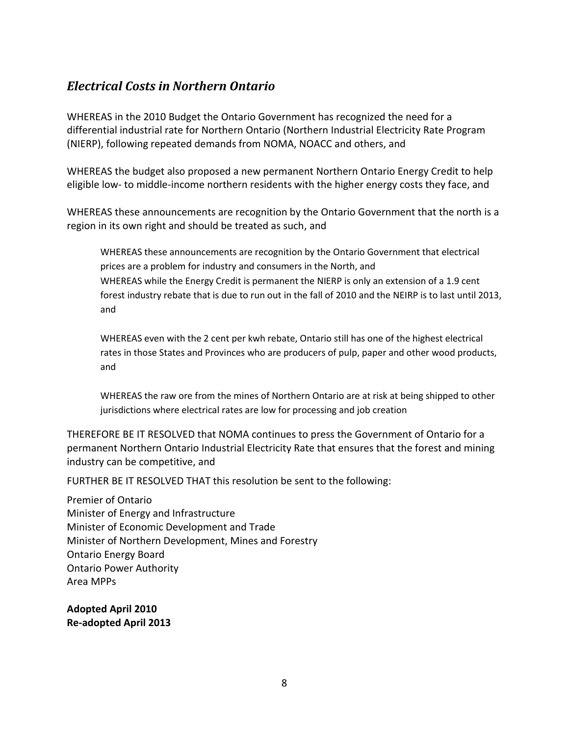# <span id="page-10-0"></span>*Electrical Costs in Northern Ontario*

WHEREAS in the 2010 Budget the Ontario Government has recognized the need for a differential industrial rate for Northern Ontario (Northern Industrial Electricity Rate Program (NIERP), following repeated demands from NOMA, NOACC and others, and

WHEREAS the budget also proposed a new permanent Northern Ontario Energy Credit to help eligible low- to middle-income northern residents with the higher energy costs they face, and

WHEREAS these announcements are recognition by the Ontario Government that the north is a region in its own right and should be treated as such, and

WHEREAS these announcements are recognition by the Ontario Government that electrical prices are a problem for industry and consumers in the North, and WHEREAS while the Energy Credit is permanent the NIERP is only an extension of a 1.9 cent forest industry rebate that is due to run out in the fall of 2010 and the NEIRP is to last until 2013, and

WHEREAS even with the 2 cent per kwh rebate, Ontario still has one of the highest electrical rates in those States and Provinces who are producers of pulp, paper and other wood products, and

WHEREAS the raw ore from the mines of Northern Ontario are at risk at being shipped to other jurisdictions where electrical rates are low for processing and job creation

THEREFORE BE IT RESOLVED that NOMA continues to press the Government of Ontario for a permanent Northern Ontario Industrial Electricity Rate that ensures that the forest and mining industry can be competitive, and

FURTHER BE IT RESOLVED THAT this resolution be sent to the following:

Premier of Ontario Minister of Energy and Infrastructure Minister of Economic Development and Trade Minister of Northern Development, Mines and Forestry Ontario Energy Board Ontario Power Authority Area MPPs

**Adopted April 2010 Re-adopted April 2013**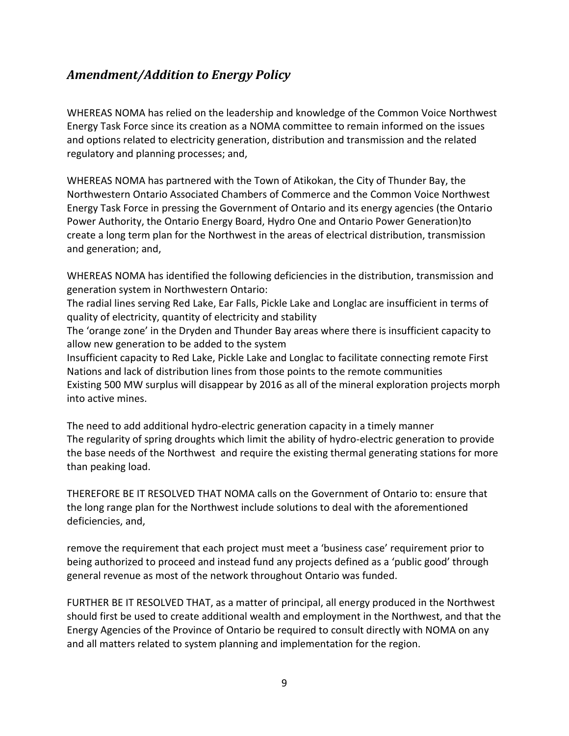# *Amendment/Addition to Energy Policy*

WHEREAS NOMA has relied on the leadership and knowledge of the Common Voice Northwest Energy Task Force since its creation as a NOMA committee to remain informed on the issues and options related to electricity generation, distribution and transmission and the related regulatory and planning processes; and,

WHEREAS NOMA has partnered with the Town of Atikokan, the City of Thunder Bay, the Northwestern Ontario Associated Chambers of Commerce and the Common Voice Northwest Energy Task Force in pressing the Government of Ontario and its energy agencies (the Ontario Power Authority, the Ontario Energy Board, Hydro One and Ontario Power Generation)to create a long term plan for the Northwest in the areas of electrical distribution, transmission and generation; and,

WHEREAS NOMA has identified the following deficiencies in the distribution, transmission and generation system in Northwestern Ontario:

The radial lines serving Red Lake, Ear Falls, Pickle Lake and Longlac are insufficient in terms of quality of electricity, quantity of electricity and stability

The 'orange zone' in the Dryden and Thunder Bay areas where there is insufficient capacity to allow new generation to be added to the system

Insufficient capacity to Red Lake, Pickle Lake and Longlac to facilitate connecting remote First Nations and lack of distribution lines from those points to the remote communities Existing 500 MW surplus will disappear by 2016 as all of the mineral exploration projects morph into active mines.

The need to add additional hydro-electric generation capacity in a timely manner The regularity of spring droughts which limit the ability of hydro-electric generation to provide the base needs of the Northwest and require the existing thermal generating stations for more than peaking load.

THEREFORE BE IT RESOLVED THAT NOMA calls on the Government of Ontario to: ensure that the long range plan for the Northwest include solutions to deal with the aforementioned deficiencies, and,

remove the requirement that each project must meet a 'business case' requirement prior to being authorized to proceed and instead fund any projects defined as a 'public good' through general revenue as most of the network throughout Ontario was funded.

FURTHER BE IT RESOLVED THAT, as a matter of principal, all energy produced in the Northwest should first be used to create additional wealth and employment in the Northwest, and that the Energy Agencies of the Province of Ontario be required to consult directly with NOMA on any and all matters related to system planning and implementation for the region.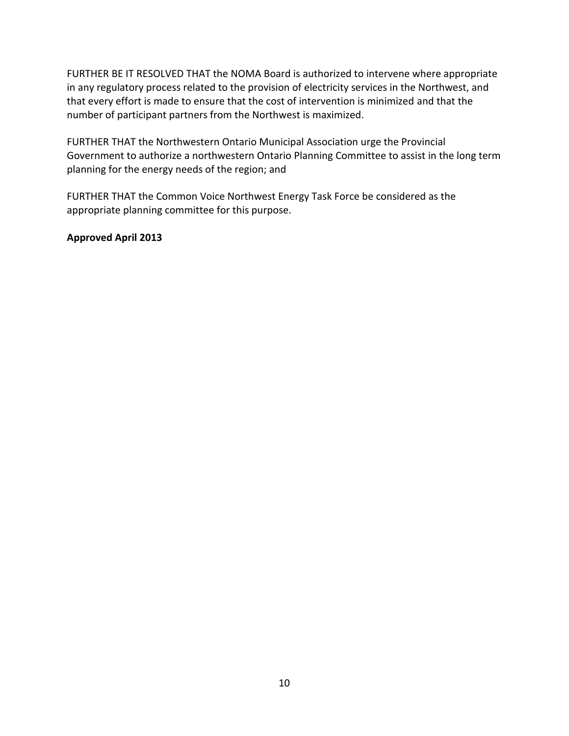FURTHER BE IT RESOLVED THAT the NOMA Board is authorized to intervene where appropriate in any regulatory process related to the provision of electricity services in the Northwest, and that every effort is made to ensure that the cost of intervention is minimized and that the number of participant partners from the Northwest is maximized.

FURTHER THAT the Northwestern Ontario Municipal Association urge the Provincial Government to authorize a northwestern Ontario Planning Committee to assist in the long term planning for the energy needs of the region; and

FURTHER THAT the Common Voice Northwest Energy Task Force be considered as the appropriate planning committee for this purpose.

#### <span id="page-12-0"></span>**Approved April 2013**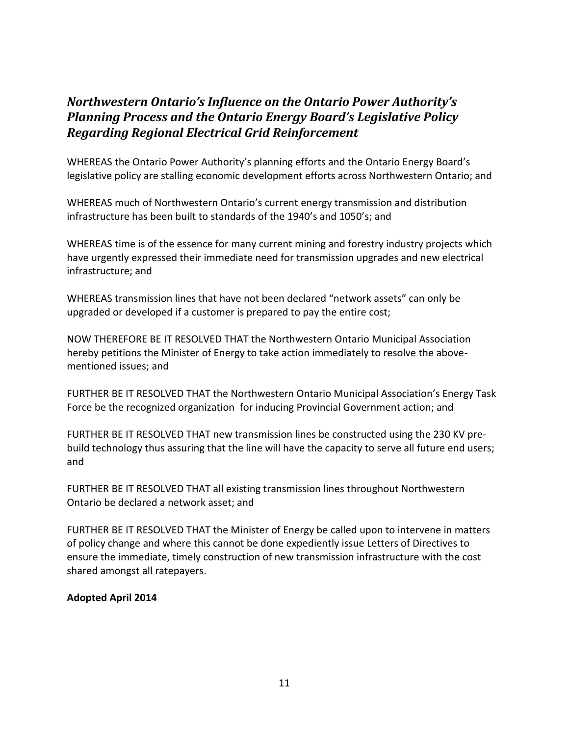# *Northwestern Ontario's Influence on the Ontario Power Authority's Planning Process and the Ontario Energy Board's Legislative Policy Regarding Regional Electrical Grid Reinforcement*

WHEREAS the Ontario Power Authority's planning efforts and the Ontario Energy Board's legislative policy are stalling economic development efforts across Northwestern Ontario; and

WHEREAS much of Northwestern Ontario's current energy transmission and distribution infrastructure has been built to standards of the 1940's and 1050's; and

WHEREAS time is of the essence for many current mining and forestry industry projects which have urgently expressed their immediate need for transmission upgrades and new electrical infrastructure; and

WHEREAS transmission lines that have not been declared "network assets" can only be upgraded or developed if a customer is prepared to pay the entire cost;

NOW THEREFORE BE IT RESOLVED THAT the Northwestern Ontario Municipal Association hereby petitions the Minister of Energy to take action immediately to resolve the abovementioned issues; and

FURTHER BE IT RESOLVED THAT the Northwestern Ontario Municipal Association's Energy Task Force be the recognized organization for inducing Provincial Government action; and

FURTHER BE IT RESOLVED THAT new transmission lines be constructed using the 230 KV prebuild technology thus assuring that the line will have the capacity to serve all future end users; and

FURTHER BE IT RESOLVED THAT all existing transmission lines throughout Northwestern Ontario be declared a network asset; and

FURTHER BE IT RESOLVED THAT the Minister of Energy be called upon to intervene in matters of policy change and where this cannot be done expediently issue Letters of Directives to ensure the immediate, timely construction of new transmission infrastructure with the cost shared amongst all ratepayers.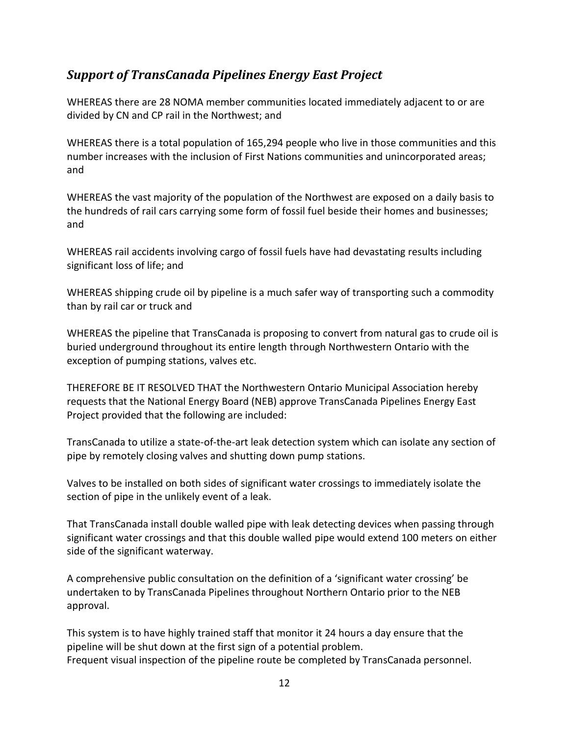# *Support of TransCanada Pipelines Energy East Project*

WHEREAS there are 28 NOMA member communities located immediately adjacent to or are divided by CN and CP rail in the Northwest; and

WHEREAS there is a total population of 165,294 people who live in those communities and this number increases with the inclusion of First Nations communities and unincorporated areas; and

WHEREAS the vast majority of the population of the Northwest are exposed on a daily basis to the hundreds of rail cars carrying some form of fossil fuel beside their homes and businesses; and

WHEREAS rail accidents involving cargo of fossil fuels have had devastating results including significant loss of life; and

WHEREAS shipping crude oil by pipeline is a much safer way of transporting such a commodity than by rail car or truck and

WHEREAS the pipeline that TransCanada is proposing to convert from natural gas to crude oil is buried underground throughout its entire length through Northwestern Ontario with the exception of pumping stations, valves etc.

THEREFORE BE IT RESOLVED THAT the Northwestern Ontario Municipal Association hereby requests that the National Energy Board (NEB) approve TransCanada Pipelines Energy East Project provided that the following are included:

TransCanada to utilize a state-of-the-art leak detection system which can isolate any section of pipe by remotely closing valves and shutting down pump stations.

Valves to be installed on both sides of significant water crossings to immediately isolate the section of pipe in the unlikely event of a leak.

That TransCanada install double walled pipe with leak detecting devices when passing through significant water crossings and that this double walled pipe would extend 100 meters on either side of the significant waterway.

A comprehensive public consultation on the definition of a 'significant water crossing' be undertaken to by TransCanada Pipelines throughout Northern Ontario prior to the NEB approval.

This system is to have highly trained staff that monitor it 24 hours a day ensure that the pipeline will be shut down at the first sign of a potential problem. Frequent visual inspection of the pipeline route be completed by TransCanada personnel.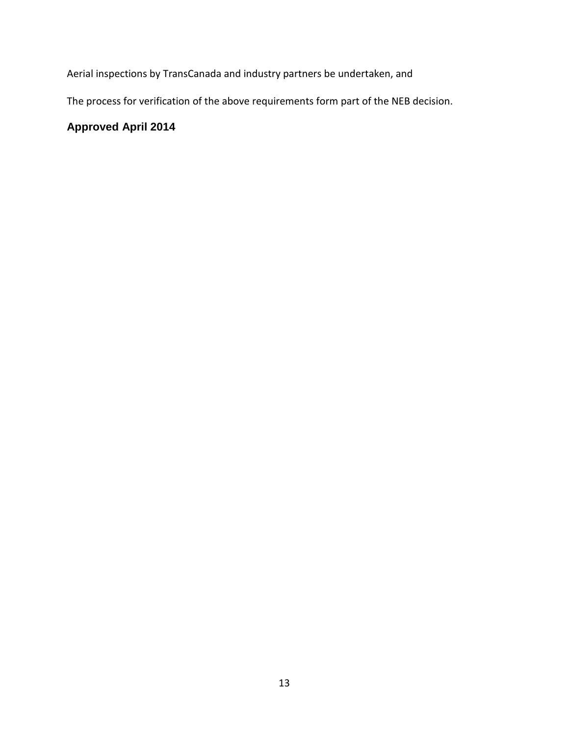Aerial inspections by TransCanada and industry partners be undertaken, and

The process for verification of the above requirements form part of the NEB decision.

### **Approved April 2014**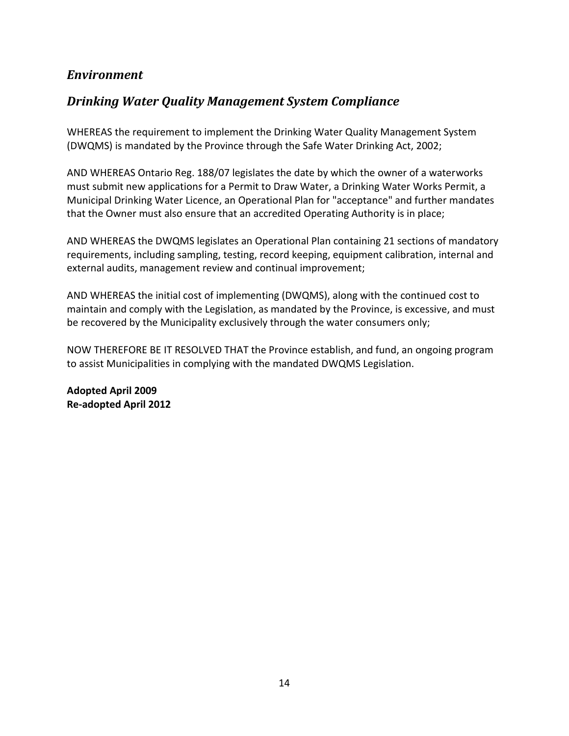## *Environment*

# *Drinking Water Quality Management System Compliance*

WHEREAS the requirement to implement the Drinking Water Quality Management System (DWQMS) is mandated by the Province through the Safe Water Drinking Act, 2002;

AND WHEREAS Ontario Reg. 188/07 legislates the date by which the owner of a waterworks must submit new applications for a Permit to Draw Water, a Drinking Water Works Permit, a Municipal Drinking Water Licence, an Operational Plan for "acceptance" and further mandates that the Owner must also ensure that an accredited Operating Authority is in place;

AND WHEREAS the DWQMS legislates an Operational Plan containing 21 sections of mandatory requirements, including sampling, testing, record keeping, equipment calibration, internal and external audits, management review and continual improvement;

AND WHEREAS the initial cost of implementing (DWQMS), along with the continued cost to maintain and comply with the Legislation, as mandated by the Province, is excessive, and must be recovered by the Municipality exclusively through the water consumers only;

NOW THEREFORE BE IT RESOLVED THAT the Province establish, and fund, an ongoing program to assist Municipalities in complying with the mandated DWQMS Legislation.

**Adopted April 2009 Re-adopted April 2012**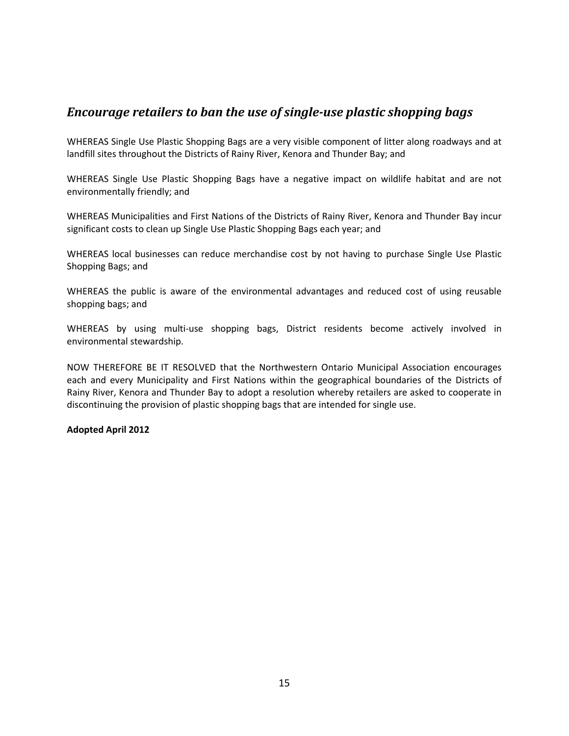### *Encourage retailers to ban the use of single-use plastic shopping bags*

WHEREAS Single Use Plastic Shopping Bags are a very visible component of litter along roadways and at landfill sites throughout the Districts of Rainy River, Kenora and Thunder Bay; and

WHEREAS Single Use Plastic Shopping Bags have a negative impact on wildlife habitat and are not environmentally friendly; and

WHEREAS Municipalities and First Nations of the Districts of Rainy River, Kenora and Thunder Bay incur significant costs to clean up Single Use Plastic Shopping Bags each year; and

WHEREAS local businesses can reduce merchandise cost by not having to purchase Single Use Plastic Shopping Bags; and

WHEREAS the public is aware of the environmental advantages and reduced cost of using reusable shopping bags; and

WHEREAS by using multi-use shopping bags, District residents become actively involved in environmental stewardship.

NOW THEREFORE BE IT RESOLVED that the Northwestern Ontario Municipal Association encourages each and every Municipality and First Nations within the geographical boundaries of the Districts of Rainy River, Kenora and Thunder Bay to adopt a resolution whereby retailers are asked to cooperate in discontinuing the provision of plastic shopping bags that are intended for single use.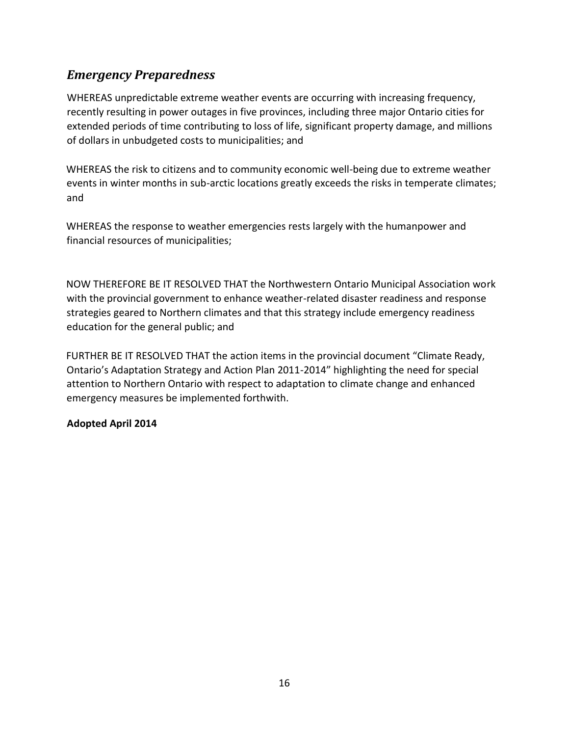# <span id="page-18-0"></span>*Emergency Preparedness*

WHEREAS unpredictable extreme weather events are occurring with increasing frequency, recently resulting in power outages in five provinces, including three major Ontario cities for extended periods of time contributing to loss of life, significant property damage, and millions of dollars in unbudgeted costs to municipalities; and

WHEREAS the risk to citizens and to community economic well-being due to extreme weather events in winter months in sub-arctic locations greatly exceeds the risks in temperate climates; and

WHEREAS the response to weather emergencies rests largely with the humanpower and financial resources of municipalities;

NOW THEREFORE BE IT RESOLVED THAT the Northwestern Ontario Municipal Association work with the provincial government to enhance weather-related disaster readiness and response strategies geared to Northern climates and that this strategy include emergency readiness education for the general public; and

FURTHER BE IT RESOLVED THAT the action items in the provincial document "Climate Ready, Ontario's Adaptation Strategy and Action Plan 2011-2014" highlighting the need for special attention to Northern Ontario with respect to adaptation to climate change and enhanced emergency measures be implemented forthwith.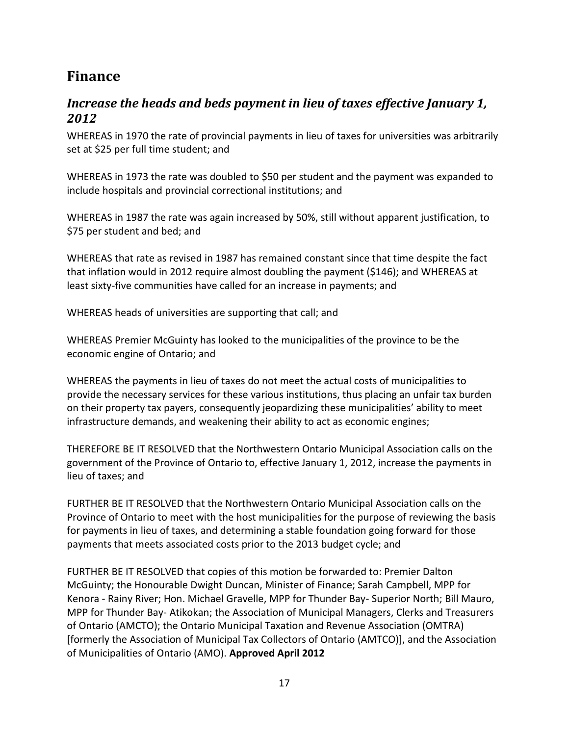# **Finance**

# <span id="page-19-0"></span>*Increase the heads and beds payment in lieu of taxes effective January 1, 2012*

WHEREAS in 1970 the rate of provincial payments in lieu of taxes for universities was arbitrarily set at \$25 per full time student; and

WHEREAS in 1973 the rate was doubled to \$50 per student and the payment was expanded to include hospitals and provincial correctional institutions; and

WHEREAS in 1987 the rate was again increased by 50%, still without apparent justification, to \$75 per student and bed; and

WHEREAS that rate as revised in 1987 has remained constant since that time despite the fact that inflation would in 2012 require almost doubling the payment (\$146); and WHEREAS at least sixty-five communities have called for an increase in payments; and

WHEREAS heads of universities are supporting that call; and

WHEREAS Premier McGuinty has looked to the municipalities of the province to be the economic engine of Ontario; and

WHEREAS the payments in lieu of taxes do not meet the actual costs of municipalities to provide the necessary services for these various institutions, thus placing an unfair tax burden on their property tax payers, consequently jeopardizing these municipalities' ability to meet infrastructure demands, and weakening their ability to act as economic engines;

THEREFORE BE IT RESOLVED that the Northwestern Ontario Municipal Association calls on the government of the Province of Ontario to, effective January 1, 2012, increase the payments in lieu of taxes; and

FURTHER BE IT RESOLVED that the Northwestern Ontario Municipal Association calls on the Province of Ontario to meet with the host municipalities for the purpose of reviewing the basis for payments in lieu of taxes, and determining a stable foundation going forward for those payments that meets associated costs prior to the 2013 budget cycle; and

FURTHER BE IT RESOLVED that copies of this motion be forwarded to: Premier Dalton McGuinty; the Honourable Dwight Duncan, Minister of Finance; Sarah Campbell, MPP for Kenora - Rainy River; Hon. Michael Gravelle, MPP for Thunder Bay- Superior North; Bill Mauro, MPP for Thunder Bay- Atikokan; the Association of Municipal Managers, Clerks and Treasurers of Ontario (AMCTO); the Ontario Municipal Taxation and Revenue Association (OMTRA) [formerly the Association of Municipal Tax Collectors of Ontario (AMTCO)], and the Association of Municipalities of Ontario (AMO). **Approved April 2012**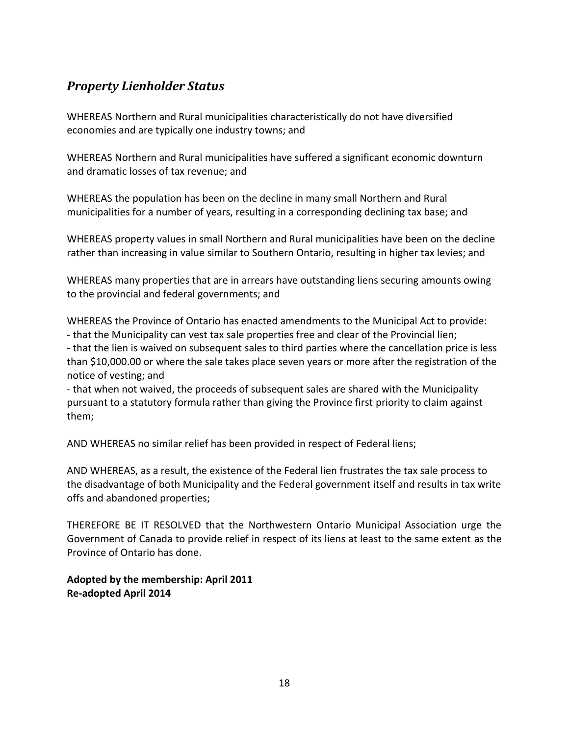# <span id="page-20-0"></span>*Property Lienholder Status*

WHEREAS Northern and Rural municipalities characteristically do not have diversified economies and are typically one industry towns; and

WHEREAS Northern and Rural municipalities have suffered a significant economic downturn and dramatic losses of tax revenue; and

WHEREAS the population has been on the decline in many small Northern and Rural municipalities for a number of years, resulting in a corresponding declining tax base; and

WHEREAS property values in small Northern and Rural municipalities have been on the decline rather than increasing in value similar to Southern Ontario, resulting in higher tax levies; and

WHEREAS many properties that are in arrears have outstanding liens securing amounts owing to the provincial and federal governments; and

WHEREAS the Province of Ontario has enacted amendments to the Municipal Act to provide: - that the Municipality can vest tax sale properties free and clear of the Provincial lien;

- that the lien is waived on subsequent sales to third parties where the cancellation price is less than \$10,000.00 or where the sale takes place seven years or more after the registration of the notice of vesting; and

- that when not waived, the proceeds of subsequent sales are shared with the Municipality pursuant to a statutory formula rather than giving the Province first priority to claim against them;

AND WHEREAS no similar relief has been provided in respect of Federal liens;

AND WHEREAS, as a result, the existence of the Federal lien frustrates the tax sale process to the disadvantage of both Municipality and the Federal government itself and results in tax write offs and abandoned properties;

THEREFORE BE IT RESOLVED that the Northwestern Ontario Municipal Association urge the Government of Canada to provide relief in respect of its liens at least to the same extent as the Province of Ontario has done.

**Adopted by the membership: April 2011 Re-adopted April 2014**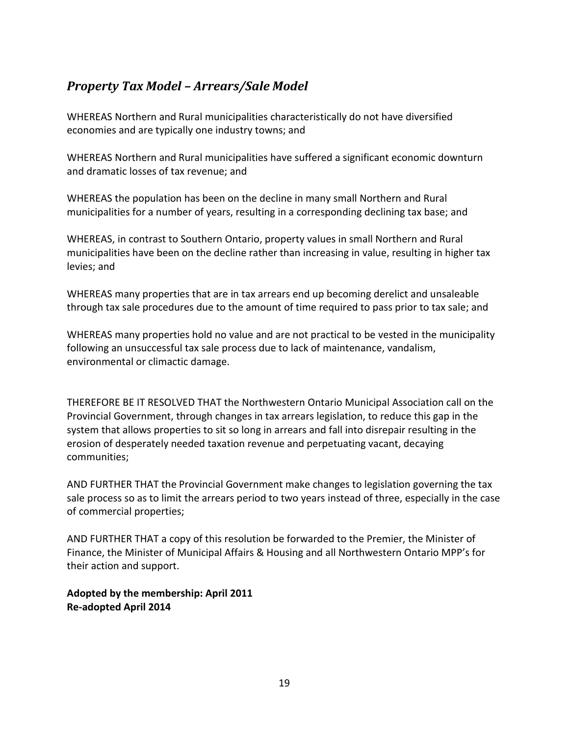# <span id="page-21-0"></span>*Property Tax Model – Arrears/Sale Model*

WHEREAS Northern and Rural municipalities characteristically do not have diversified economies and are typically one industry towns; and

WHEREAS Northern and Rural municipalities have suffered a significant economic downturn and dramatic losses of tax revenue; and

WHEREAS the population has been on the decline in many small Northern and Rural municipalities for a number of years, resulting in a corresponding declining tax base; and

WHEREAS, in contrast to Southern Ontario, property values in small Northern and Rural municipalities have been on the decline rather than increasing in value, resulting in higher tax levies; and

WHEREAS many properties that are in tax arrears end up becoming derelict and unsaleable through tax sale procedures due to the amount of time required to pass prior to tax sale; and

WHEREAS many properties hold no value and are not practical to be vested in the municipality following an unsuccessful tax sale process due to lack of maintenance, vandalism, environmental or climactic damage.

THEREFORE BE IT RESOLVED THAT the Northwestern Ontario Municipal Association call on the Provincial Government, through changes in tax arrears legislation, to reduce this gap in the system that allows properties to sit so long in arrears and fall into disrepair resulting in the erosion of desperately needed taxation revenue and perpetuating vacant, decaying communities;

AND FURTHER THAT the Provincial Government make changes to legislation governing the tax sale process so as to limit the arrears period to two years instead of three, especially in the case of commercial properties;

AND FURTHER THAT a copy of this resolution be forwarded to the Premier, the Minister of Finance, the Minister of Municipal Affairs & Housing and all Northwestern Ontario MPP's for their action and support.

**Adopted by the membership: April 2011 Re-adopted April 2014**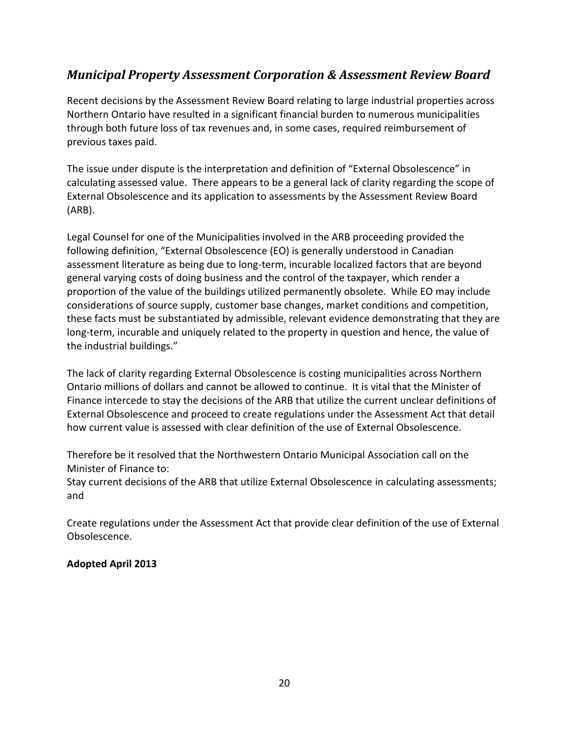# *Municipal Property Assessment Corporation & Assessment Review Board*

Recent decisions by the Assessment Review Board relating to large industrial properties across Northern Ontario have resulted in a significant financial burden to numerous municipalities through both future loss of tax revenues and, in some cases, required reimbursement of previous taxes paid.

The issue under dispute is the interpretation and definition of "External Obsolescence" in calculating assessed value. There appears to be a general lack of clarity regarding the scope of External Obsolescence and its application to assessments by the Assessment Review Board (ARB).

Legal Counsel for one of the Municipalities involved in the ARB proceeding provided the following definition, "External Obsolescence (EO) is generally understood in Canadian assessment literature as being due to long-term, incurable localized factors that are beyond general varying costs of doing business and the control of the taxpayer, which render a proportion of the value of the buildings utilized permanently obsolete. While EO may include considerations of source supply, customer base changes, market conditions and competition, these facts must be substantiated by admissible, relevant evidence demonstrating that they are long-term, incurable and uniquely related to the property in question and hence, the value of the industrial buildings."

The lack of clarity regarding External Obsolescence is costing municipalities across Northern Ontario millions of dollars and cannot be allowed to continue. It is vital that the Minister of Finance intercede to stay the decisions of the ARB that utilize the current unclear definitions of External Obsolescence and proceed to create regulations under the Assessment Act that detail how current value is assessed with clear definition of the use of External Obsolescence.

Therefore be it resolved that the Northwestern Ontario Municipal Association call on the Minister of Finance to:

Stay current decisions of the ARB that utilize External Obsolescence in calculating assessments; and

Create regulations under the Assessment Act that provide clear definition of the use of External Obsolescence.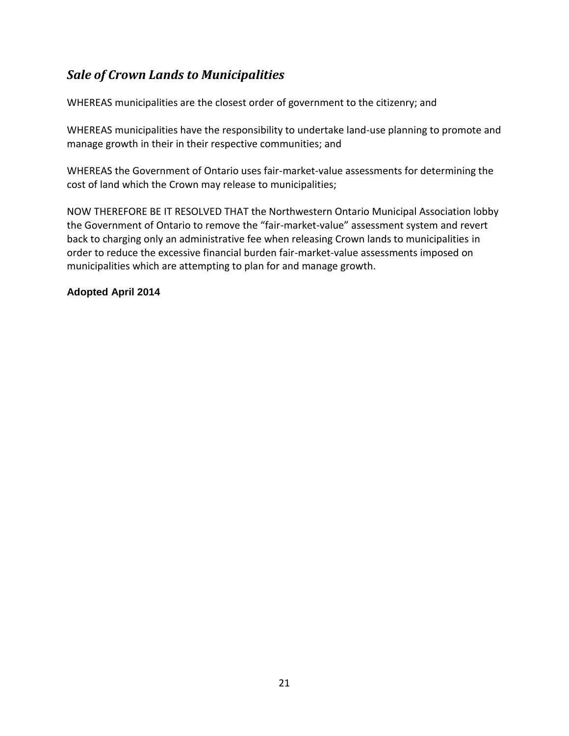# *Sale of Crown Lands to Municipalities*

WHEREAS municipalities are the closest order of government to the citizenry; and

WHEREAS municipalities have the responsibility to undertake land-use planning to promote and manage growth in their in their respective communities; and

WHEREAS the Government of Ontario uses fair-market-value assessments for determining the cost of land which the Crown may release to municipalities;

NOW THEREFORE BE IT RESOLVED THAT the Northwestern Ontario Municipal Association lobby the Government of Ontario to remove the "fair-market-value" assessment system and revert back to charging only an administrative fee when releasing Crown lands to municipalities in order to reduce the excessive financial burden fair-market-value assessments imposed on municipalities which are attempting to plan for and manage growth.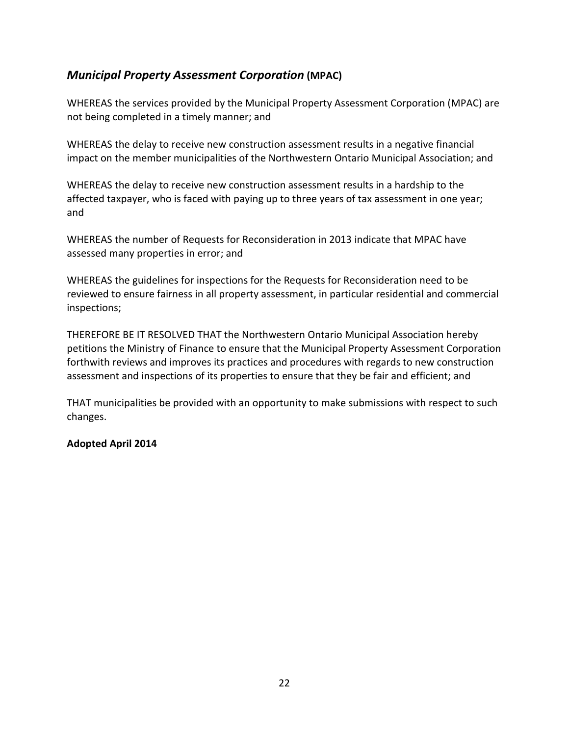### *Municipal Property Assessment Corporation* **(MPAC)**

WHEREAS the services provided by the Municipal Property Assessment Corporation (MPAC) are not being completed in a timely manner; and

WHEREAS the delay to receive new construction assessment results in a negative financial impact on the member municipalities of the Northwestern Ontario Municipal Association; and

WHEREAS the delay to receive new construction assessment results in a hardship to the affected taxpayer, who is faced with paying up to three years of tax assessment in one year; and

WHEREAS the number of Requests for Reconsideration in 2013 indicate that MPAC have assessed many properties in error; and

WHEREAS the guidelines for inspections for the Requests for Reconsideration need to be reviewed to ensure fairness in all property assessment, in particular residential and commercial inspections;

THEREFORE BE IT RESOLVED THAT the Northwestern Ontario Municipal Association hereby petitions the Ministry of Finance to ensure that the Municipal Property Assessment Corporation forthwith reviews and improves its practices and procedures with regards to new construction assessment and inspections of its properties to ensure that they be fair and efficient; and

THAT municipalities be provided with an opportunity to make submissions with respect to such changes.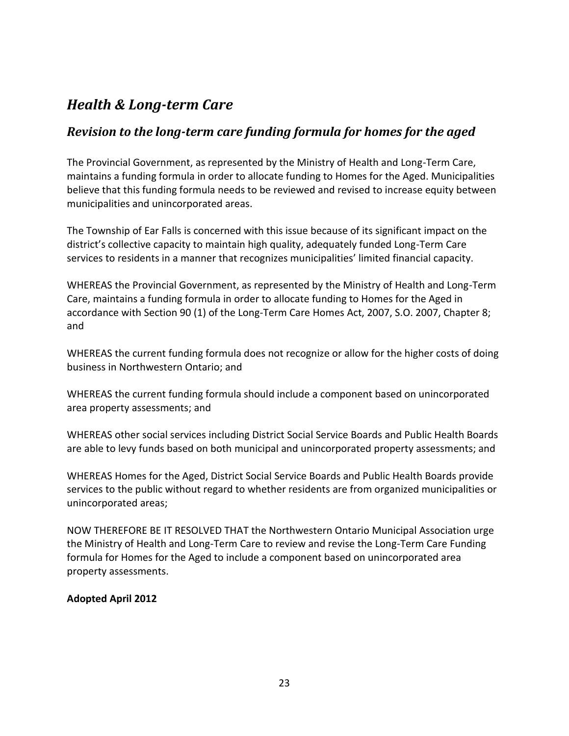# <span id="page-25-0"></span>*Health & Long-term Care*

### *Revision to the long-term care funding formula for homes for the aged*

The Provincial Government, as represented by the Ministry of Health and Long-Term Care, maintains a funding formula in order to allocate funding to Homes for the Aged. Municipalities believe that this funding formula needs to be reviewed and revised to increase equity between municipalities and unincorporated areas.

The Township of Ear Falls is concerned with this issue because of its significant impact on the district's collective capacity to maintain high quality, adequately funded Long-Term Care services to residents in a manner that recognizes municipalities' limited financial capacity.

WHEREAS the Provincial Government, as represented by the Ministry of Health and Long-Term Care, maintains a funding formula in order to allocate funding to Homes for the Aged in accordance with Section 90 (1) of the Long-Term Care Homes Act, 2007, S.O. 2007, Chapter 8; and

WHEREAS the current funding formula does not recognize or allow for the higher costs of doing business in Northwestern Ontario; and

WHEREAS the current funding formula should include a component based on unincorporated area property assessments; and

WHEREAS other social services including District Social Service Boards and Public Health Boards are able to levy funds based on both municipal and unincorporated property assessments; and

WHEREAS Homes for the Aged, District Social Service Boards and Public Health Boards provide services to the public without regard to whether residents are from organized municipalities or unincorporated areas;

NOW THEREFORE BE IT RESOLVED THAT the Northwestern Ontario Municipal Association urge the Ministry of Health and Long-Term Care to review and revise the Long-Term Care Funding formula for Homes for the Aged to include a component based on unincorporated area property assessments.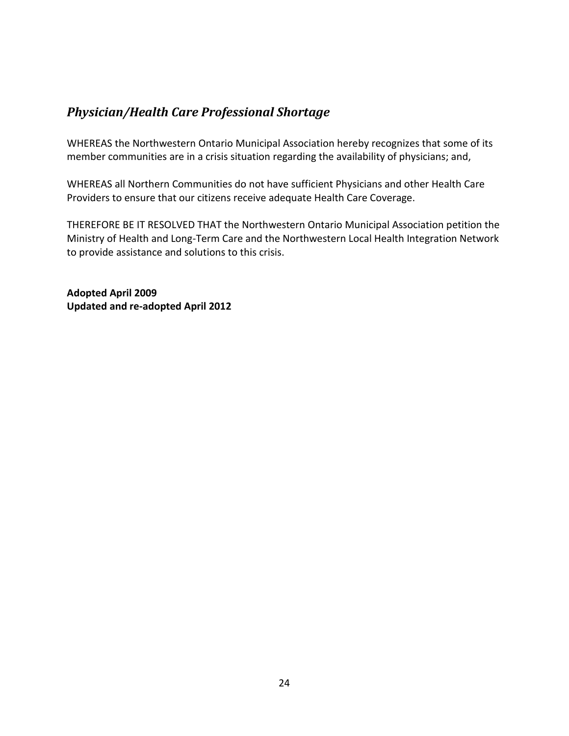## <span id="page-26-0"></span>*Physician/Health Care Professional Shortage*

WHEREAS the Northwestern Ontario Municipal Association hereby recognizes that some of its member communities are in a crisis situation regarding the availability of physicians; and,

WHEREAS all Northern Communities do not have sufficient Physicians and other Health Care Providers to ensure that our citizens receive adequate Health Care Coverage.

THEREFORE BE IT RESOLVED THAT the Northwestern Ontario Municipal Association petition the Ministry of Health and Long-Term Care and the Northwestern Local Health Integration Network to provide assistance and solutions to this crisis.

**Adopted April 2009 Updated and re-adopted April 2012**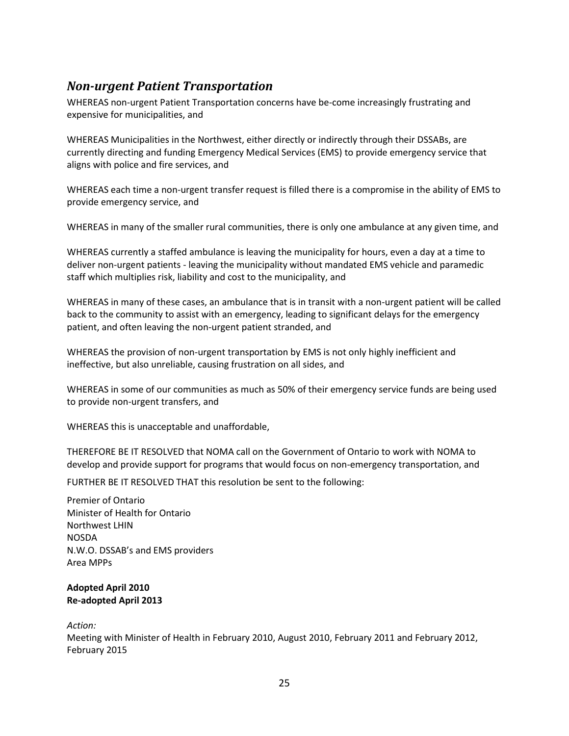# <span id="page-27-0"></span>*Non-urgent Patient Transportation*

WHEREAS non-urgent Patient Transportation concerns have be-come increasingly frustrating and expensive for municipalities, and

WHEREAS Municipalities in the Northwest, either directly or indirectly through their DSSABs, are currently directing and funding Emergency Medical Services (EMS) to provide emergency service that aligns with police and fire services, and

WHEREAS each time a non-urgent transfer request is filled there is a compromise in the ability of EMS to provide emergency service, and

WHEREAS in many of the smaller rural communities, there is only one ambulance at any given time, and

WHEREAS currently a staffed ambulance is leaving the municipality for hours, even a day at a time to deliver non-urgent patients - leaving the municipality without mandated EMS vehicle and paramedic staff which multiplies risk, liability and cost to the municipality, and

WHEREAS in many of these cases, an ambulance that is in transit with a non-urgent patient will be called back to the community to assist with an emergency, leading to significant delays for the emergency patient, and often leaving the non-urgent patient stranded, and

WHEREAS the provision of non-urgent transportation by EMS is not only highly inefficient and ineffective, but also unreliable, causing frustration on all sides, and

WHEREAS in some of our communities as much as 50% of their emergency service funds are being used to provide non-urgent transfers, and

WHEREAS this is unacceptable and unaffordable,

THEREFORE BE IT RESOLVED that NOMA call on the Government of Ontario to work with NOMA to develop and provide support for programs that would focus on non-emergency transportation, and

FURTHER BE IT RESOLVED THAT this resolution be sent to the following:

Premier of Ontario Minister of Health for Ontario Northwest LHIN NOSDA N.W.O. DSSAB's and EMS providers Area MPPs

#### **Adopted April 2010 Re-adopted April 2013**

#### *Action:*

Meeting with Minister of Health in February 2010, August 2010, February 2011 and February 2012, February 2015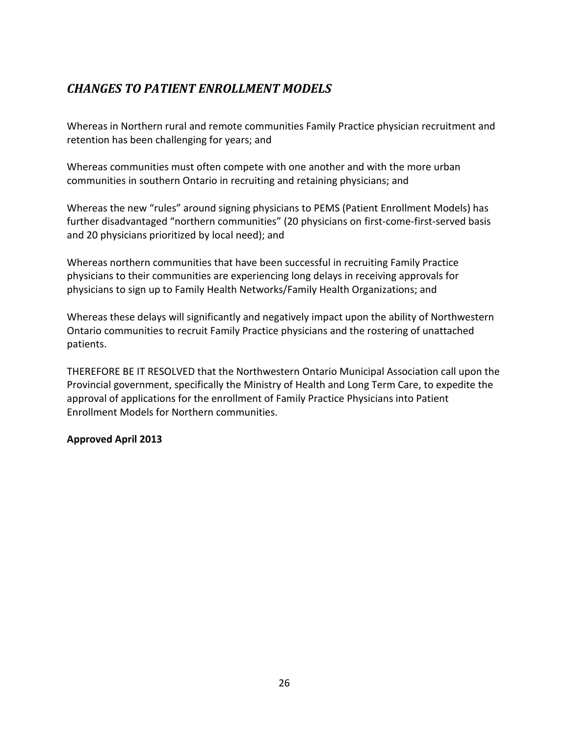# *CHANGES TO PATIENT ENROLLMENT MODELS*

Whereas in Northern rural and remote communities Family Practice physician recruitment and retention has been challenging for years; and

Whereas communities must often compete with one another and with the more urban communities in southern Ontario in recruiting and retaining physicians; and

Whereas the new "rules" around signing physicians to PEMS (Patient Enrollment Models) has further disadvantaged "northern communities" (20 physicians on first-come-first-served basis and 20 physicians prioritized by local need); and

Whereas northern communities that have been successful in recruiting Family Practice physicians to their communities are experiencing long delays in receiving approvals for physicians to sign up to Family Health Networks/Family Health Organizations; and

Whereas these delays will significantly and negatively impact upon the ability of Northwestern Ontario communities to recruit Family Practice physicians and the rostering of unattached patients.

THEREFORE BE IT RESOLVED that the Northwestern Ontario Municipal Association call upon the Provincial government, specifically the Ministry of Health and Long Term Care, to expedite the approval of applications for the enrollment of Family Practice Physicians into Patient Enrollment Models for Northern communities.

### <span id="page-28-0"></span>**Approved April 2013**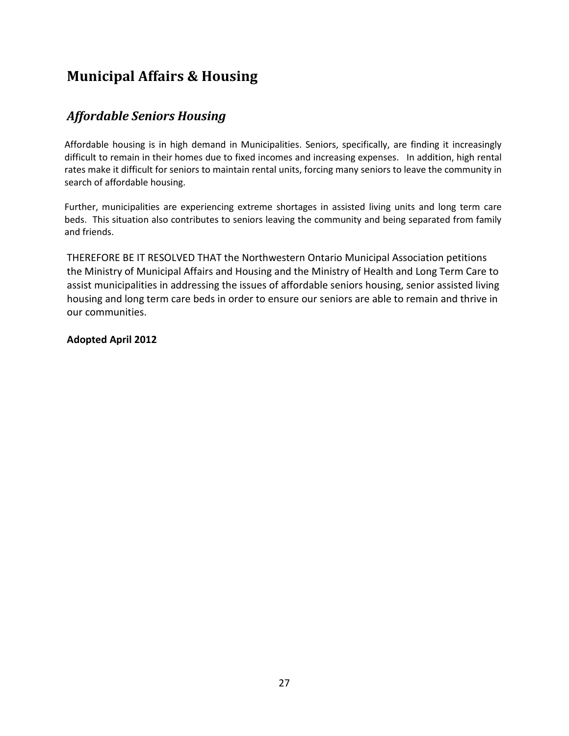# **Municipal Affairs & Housing**

# <span id="page-29-0"></span>*Affordable Seniors Housing*

Affordable housing is in high demand in Municipalities. Seniors, specifically, are finding it increasingly difficult to remain in their homes due to fixed incomes and increasing expenses. In addition, high rental rates make it difficult for seniors to maintain rental units, forcing many seniors to leave the community in search of affordable housing.

Further, municipalities are experiencing extreme shortages in assisted living units and long term care beds. This situation also contributes to seniors leaving the community and being separated from family and friends.

THEREFORE BE IT RESOLVED THAT the Northwestern Ontario Municipal Association petitions the Ministry of Municipal Affairs and Housing and the Ministry of Health and Long Term Care to assist municipalities in addressing the issues of affordable seniors housing, senior assisted living housing and long term care beds in order to ensure our seniors are able to remain and thrive in our communities.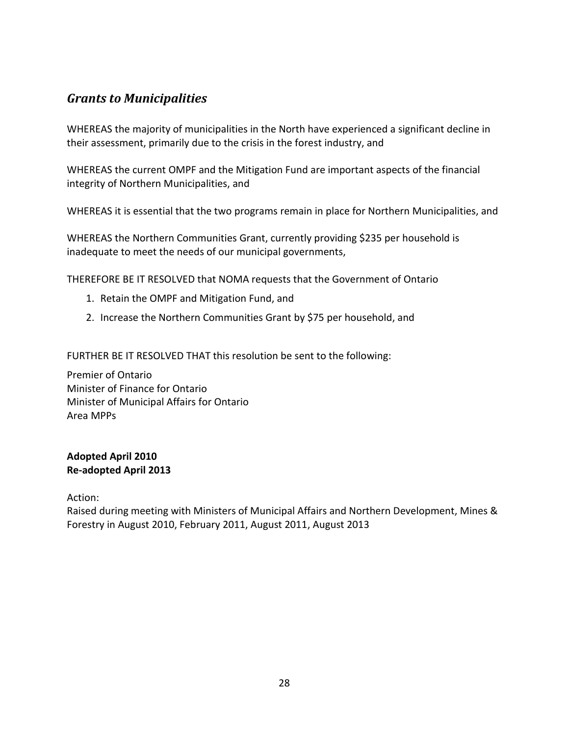## <span id="page-30-0"></span>*Grants to Municipalities*

WHEREAS the majority of municipalities in the North have experienced a significant decline in their assessment, primarily due to the crisis in the forest industry, and

WHEREAS the current OMPF and the Mitigation Fund are important aspects of the financial integrity of Northern Municipalities, and

WHEREAS it is essential that the two programs remain in place for Northern Municipalities, and

WHEREAS the Northern Communities Grant, currently providing \$235 per household is inadequate to meet the needs of our municipal governments,

THEREFORE BE IT RESOLVED that NOMA requests that the Government of Ontario

- 1. Retain the OMPF and Mitigation Fund, and
- 2. Increase the Northern Communities Grant by \$75 per household, and

FURTHER BE IT RESOLVED THAT this resolution be sent to the following:

Premier of Ontario Minister of Finance for Ontario Minister of Municipal Affairs for Ontario Area MPPs

#### **Adopted April 2010 Re-adopted April 2013**

Action:

Raised during meeting with Ministers of Municipal Affairs and Northern Development, Mines & Forestry in August 2010, February 2011, August 2011, August 2013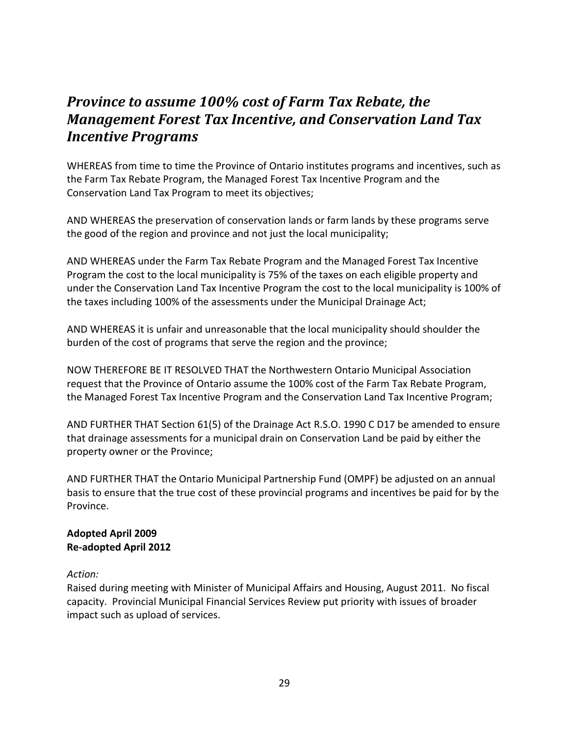# <span id="page-31-0"></span>*Province to assume 100% cost of Farm Tax Rebate, the Management Forest Tax Incentive, and Conservation Land Tax Incentive Programs*

WHEREAS from time to time the Province of Ontario institutes programs and incentives, such as the Farm Tax Rebate Program, the Managed Forest Tax Incentive Program and the Conservation Land Tax Program to meet its objectives;

AND WHEREAS the preservation of conservation lands or farm lands by these programs serve the good of the region and province and not just the local municipality;

AND WHEREAS under the Farm Tax Rebate Program and the Managed Forest Tax Incentive Program the cost to the local municipality is 75% of the taxes on each eligible property and under the Conservation Land Tax Incentive Program the cost to the local municipality is 100% of the taxes including 100% of the assessments under the Municipal Drainage Act;

AND WHEREAS it is unfair and unreasonable that the local municipality should shoulder the burden of the cost of programs that serve the region and the province;

NOW THEREFORE BE IT RESOLVED THAT the Northwestern Ontario Municipal Association request that the Province of Ontario assume the 100% cost of the Farm Tax Rebate Program, the Managed Forest Tax Incentive Program and the Conservation Land Tax Incentive Program;

AND FURTHER THAT Section 61(5) of the Drainage Act R.S.O. 1990 C D17 be amended to ensure that drainage assessments for a municipal drain on Conservation Land be paid by either the property owner or the Province;

AND FURTHER THAT the Ontario Municipal Partnership Fund (OMPF) be adjusted on an annual basis to ensure that the true cost of these provincial programs and incentives be paid for by the Province.

### **Adopted April 2009 Re-adopted April 2012**

### *Action:*

Raised during meeting with Minister of Municipal Affairs and Housing, August 2011. No fiscal capacity. Provincial Municipal Financial Services Review put priority with issues of broader impact such as upload of services.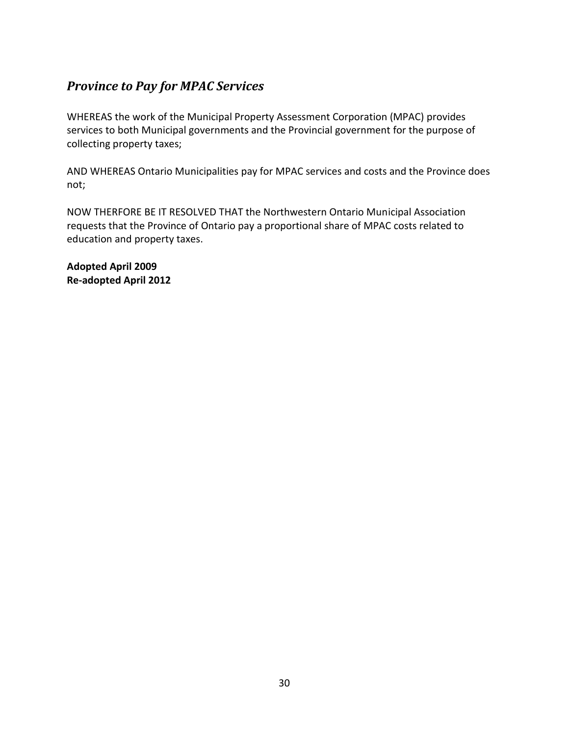# <span id="page-32-0"></span>*Province to Pay for MPAC Services*

WHEREAS the work of the Municipal Property Assessment Corporation (MPAC) provides services to both Municipal governments and the Provincial government for the purpose of collecting property taxes;

AND WHEREAS Ontario Municipalities pay for MPAC services and costs and the Province does not;

NOW THERFORE BE IT RESOLVED THAT the Northwestern Ontario Municipal Association requests that the Province of Ontario pay a proportional share of MPAC costs related to education and property taxes.

**Adopted April 2009 Re-adopted April 2012**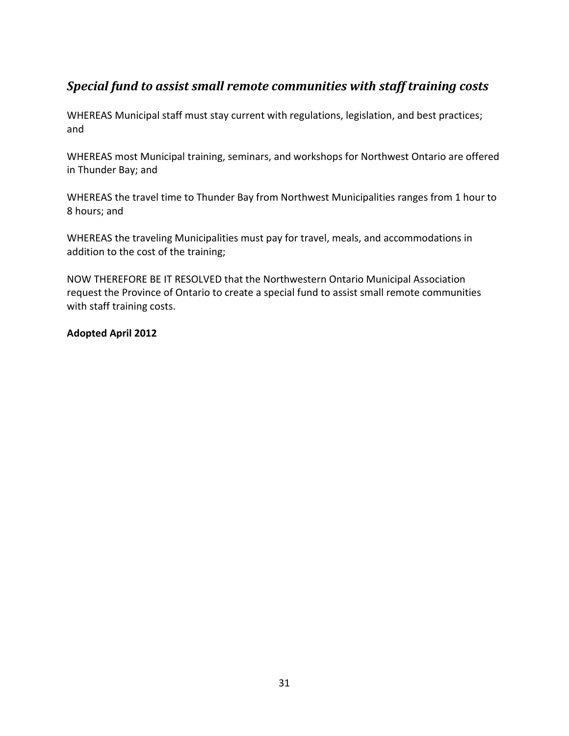# <span id="page-33-0"></span>*Special fund to assist small remote communities with staff training costs*

WHEREAS Municipal staff must stay current with regulations, legislation, and best practices; and

WHEREAS most Municipal training, seminars, and workshops for Northwest Ontario are offered in Thunder Bay; and

WHEREAS the travel time to Thunder Bay from Northwest Municipalities ranges from 1 hour to 8 hours; and

WHEREAS the traveling Municipalities must pay for travel, meals, and accommodations in addition to the cost of the training;

NOW THEREFORE BE IT RESOLVED that the Northwestern Ontario Municipal Association request the Province of Ontario to create a special fund to assist small remote communities with staff training costs.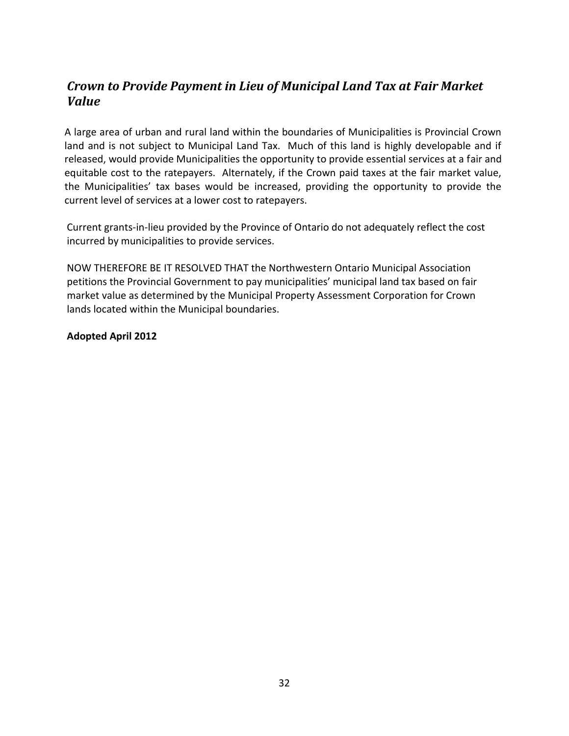# <span id="page-34-0"></span>*Crown to Provide Payment in Lieu of Municipal Land Tax at Fair Market Value*

A large area of urban and rural land within the boundaries of Municipalities is Provincial Crown land and is not subject to Municipal Land Tax. Much of this land is highly developable and if released, would provide Municipalities the opportunity to provide essential services at a fair and equitable cost to the ratepayers. Alternately, if the Crown paid taxes at the fair market value, the Municipalities' tax bases would be increased, providing the opportunity to provide the current level of services at a lower cost to ratepayers.

Current grants-in-lieu provided by the Province of Ontario do not adequately reflect the cost incurred by municipalities to provide services.

NOW THEREFORE BE IT RESOLVED THAT the Northwestern Ontario Municipal Association petitions the Provincial Government to pay municipalities' municipal land tax based on fair market value as determined by the Municipal Property Assessment Corporation for Crown lands located within the Municipal boundaries.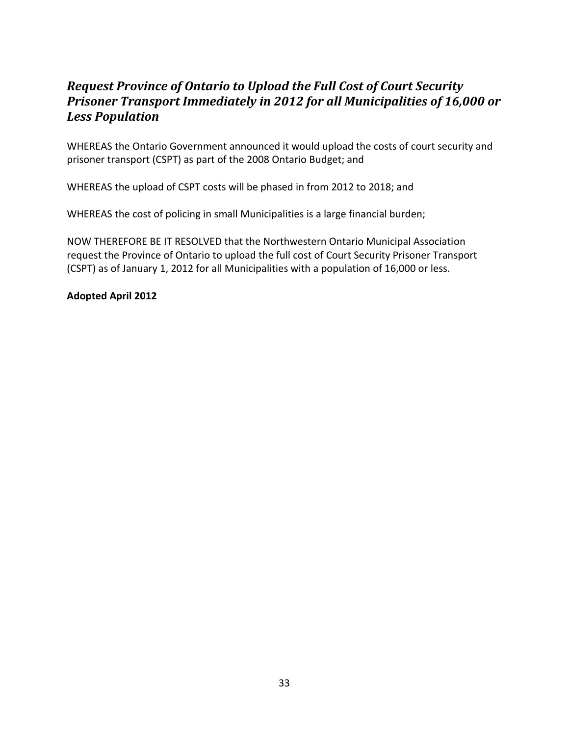# <span id="page-35-0"></span>*Request Province of Ontario to Upload the Full Cost of Court Security Prisoner Transport Immediately in 2012 for all Municipalities of 16,000 or Less Population*

WHEREAS the Ontario Government announced it would upload the costs of court security and prisoner transport (CSPT) as part of the 2008 Ontario Budget; and

WHEREAS the upload of CSPT costs will be phased in from 2012 to 2018; and

WHEREAS the cost of policing in small Municipalities is a large financial burden;

NOW THEREFORE BE IT RESOLVED that the Northwestern Ontario Municipal Association request the Province of Ontario to upload the full cost of Court Security Prisoner Transport (CSPT) as of January 1, 2012 for all Municipalities with a population of 16,000 or less.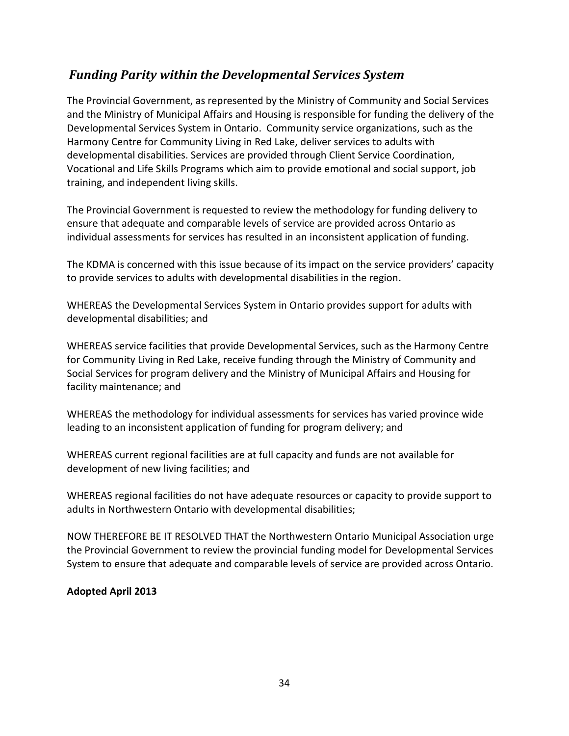# *Funding Parity within the Developmental Services System*

The Provincial Government, as represented by the Ministry of Community and Social Services and the Ministry of Municipal Affairs and Housing is responsible for funding the delivery of the Developmental Services System in Ontario. Community service organizations, such as the Harmony Centre for Community Living in Red Lake, deliver services to adults with developmental disabilities. Services are provided through Client Service Coordination, Vocational and Life Skills Programs which aim to provide emotional and social support, job training, and independent living skills.

The Provincial Government is requested to review the methodology for funding delivery to ensure that adequate and comparable levels of service are provided across Ontario as individual assessments for services has resulted in an inconsistent application of funding.

The KDMA is concerned with this issue because of its impact on the service providers' capacity to provide services to adults with developmental disabilities in the region.

WHEREAS the Developmental Services System in Ontario provides support for adults with developmental disabilities; and

WHEREAS service facilities that provide Developmental Services, such as the Harmony Centre for Community Living in Red Lake, receive funding through the Ministry of Community and Social Services for program delivery and the Ministry of Municipal Affairs and Housing for facility maintenance; and

WHEREAS the methodology for individual assessments for services has varied province wide leading to an inconsistent application of funding for program delivery; and

WHEREAS current regional facilities are at full capacity and funds are not available for development of new living facilities; and

WHEREAS regional facilities do not have adequate resources or capacity to provide support to adults in Northwestern Ontario with developmental disabilities;

NOW THEREFORE BE IT RESOLVED THAT the Northwestern Ontario Municipal Association urge the Provincial Government to review the provincial funding model for Developmental Services System to ensure that adequate and comparable levels of service are provided across Ontario.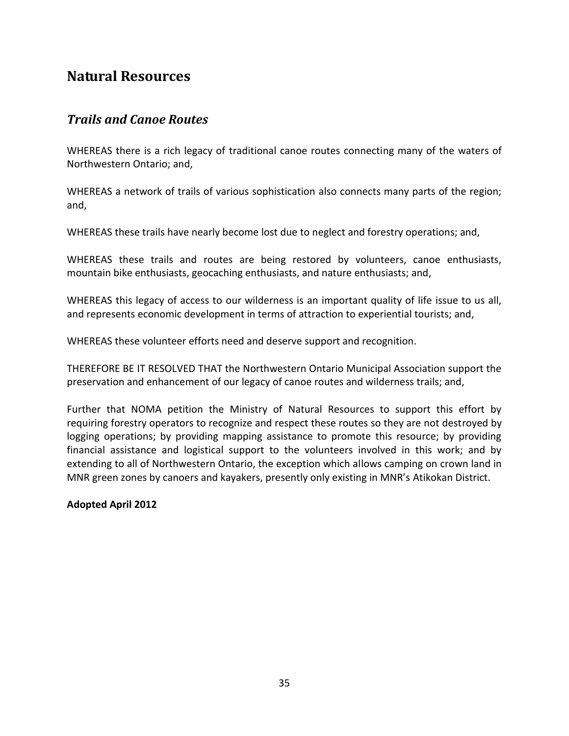# <span id="page-37-0"></span>**Natural Resources**

### <span id="page-37-1"></span>*Trails and Canoe Routes*

WHEREAS there is a rich legacy of traditional canoe routes connecting many of the waters of Northwestern Ontario; and,

WHEREAS a network of trails of various sophistication also connects many parts of the region; and,

WHEREAS these trails have nearly become lost due to neglect and forestry operations; and,

WHEREAS these trails and routes are being restored by volunteers, canoe enthusiasts, mountain bike enthusiasts, geocaching enthusiasts, and nature enthusiasts; and,

WHEREAS this legacy of access to our wilderness is an important quality of life issue to us all, and represents economic development in terms of attraction to experiential tourists; and,

WHEREAS these volunteer efforts need and deserve support and recognition.

THEREFORE BE IT RESOLVED THAT the Northwestern Ontario Municipal Association support the preservation and enhancement of our legacy of canoe routes and wilderness trails; and,

Further that NOMA petition the Ministry of Natural Resources to support this effort by requiring forestry operators to recognize and respect these routes so they are not destroyed by logging operations; by providing mapping assistance to promote this resource; by providing financial assistance and logistical support to the volunteers involved in this work; and by extending to all of Northwestern Ontario, the exception which allows camping on crown land in MNR green zones by canoers and kayakers, presently only existing in MNR's Atikokan District.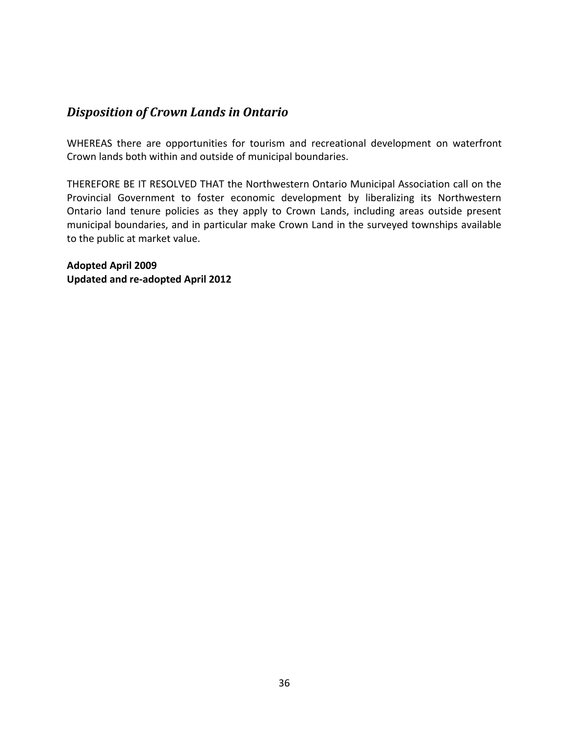### <span id="page-38-0"></span>*Disposition of Crown Lands in Ontario*

WHEREAS there are opportunities for tourism and recreational development on waterfront Crown lands both within and outside of municipal boundaries.

THEREFORE BE IT RESOLVED THAT the Northwestern Ontario Municipal Association call on the Provincial Government to foster economic development by liberalizing its Northwestern Ontario land tenure policies as they apply to Crown Lands, including areas outside present municipal boundaries, and in particular make Crown Land in the surveyed townships available to the public at market value.

**Adopted April 2009 Updated and re-adopted April 2012**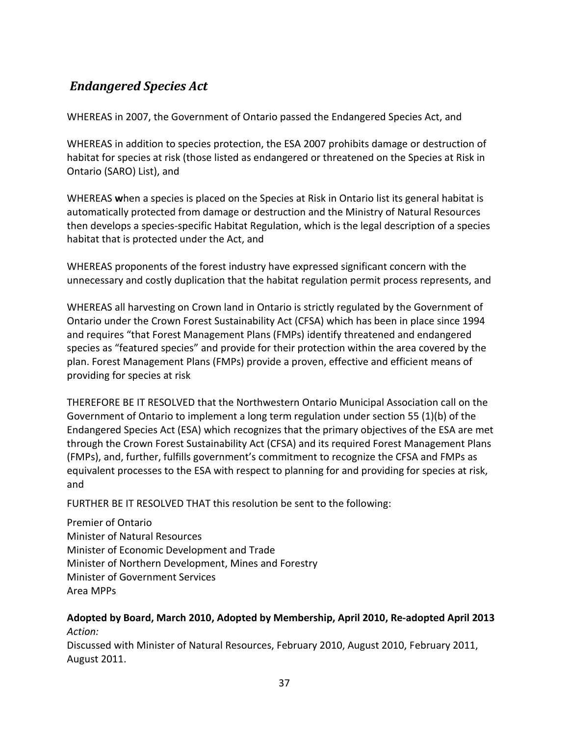# <span id="page-39-0"></span>*Endangered Species Act*

WHEREAS in 2007, the Government of Ontario passed the Endangered Species Act, and

WHEREAS in addition to species protection, the ESA 2007 prohibits damage or destruction of habitat for species at risk (those listed as endangered or threatened on the Species at Risk in Ontario (SARO) List), and

WHEREAS **w**hen a species is placed on the Species at Risk in Ontario list its general habitat is automatically protected from damage or destruction and the Ministry of Natural Resources then develops a species-specific Habitat Regulation, which is the legal description of a species habitat that is protected under the Act, and

WHEREAS proponents of the forest industry have expressed significant concern with the unnecessary and costly duplication that the habitat regulation permit process represents, and

WHEREAS all harvesting on Crown land in Ontario is strictly regulated by the Government of Ontario under the Crown Forest Sustainability Act (CFSA) which has been in place since 1994 and requires "that Forest Management Plans (FMPs) identify threatened and endangered species as "featured species" and provide for their protection within the area covered by the plan. Forest Management Plans (FMPs) provide a proven, effective and efficient means of providing for species at risk

THEREFORE BE IT RESOLVED that the Northwestern Ontario Municipal Association call on the Government of Ontario to implement a long term regulation under section 55 (1)(b) of the Endangered Species Act (ESA) which recognizes that the primary objectives of the ESA are met through the Crown Forest Sustainability Act (CFSA) and its required Forest Management Plans (FMPs), and, further, fulfills government's commitment to recognize the CFSA and FMPs as equivalent processes to the ESA with respect to planning for and providing for species at risk, and

FURTHER BE IT RESOLVED THAT this resolution be sent to the following:

Premier of Ontario Minister of Natural Resources Minister of Economic Development and Trade Minister of Northern Development, Mines and Forestry Minister of Government Services Area MPPs

### **Adopted by Board, March 2010, Adopted by Membership, April 2010, Re-adopted April 2013** *Action:*

Discussed with Minister of Natural Resources, February 2010, August 2010, February 2011, August 2011.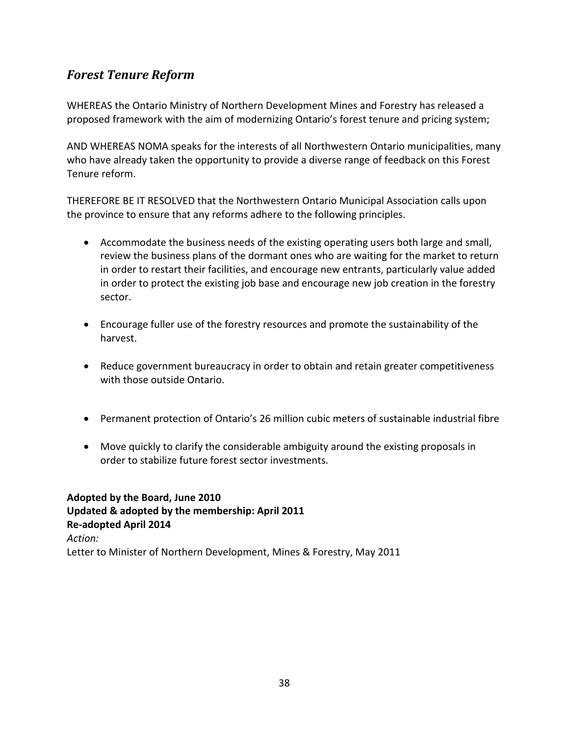# <span id="page-40-0"></span>*Forest Tenure Reform*

WHEREAS the Ontario Ministry of Northern Development Mines and Forestry has released a proposed framework with the aim of modernizing Ontario's forest tenure and pricing system;

AND WHEREAS NOMA speaks for the interests of all Northwestern Ontario municipalities, many who have already taken the opportunity to provide a diverse range of feedback on this Forest Tenure reform.

THEREFORE BE IT RESOLVED that the Northwestern Ontario Municipal Association calls upon the province to ensure that any reforms adhere to the following principles.

- Accommodate the business needs of the existing operating users both large and small, review the business plans of the dormant ones who are waiting for the market to return in order to restart their facilities, and encourage new entrants, particularly value added in order to protect the existing job base and encourage new job creation in the forestry sector.
- Encourage fuller use of the forestry resources and promote the sustainability of the harvest.
- Reduce government bureaucracy in order to obtain and retain greater competitiveness with those outside Ontario.
- Permanent protection of Ontario's 26 million cubic meters of sustainable industrial fibre
- Move quickly to clarify the considerable ambiguity around the existing proposals in order to stabilize future forest sector investments.

**Adopted by the Board, June 2010 Updated & adopted by the membership: April 2011 Re-adopted April 2014** *Action:* Letter to Minister of Northern Development, Mines & Forestry, May 2011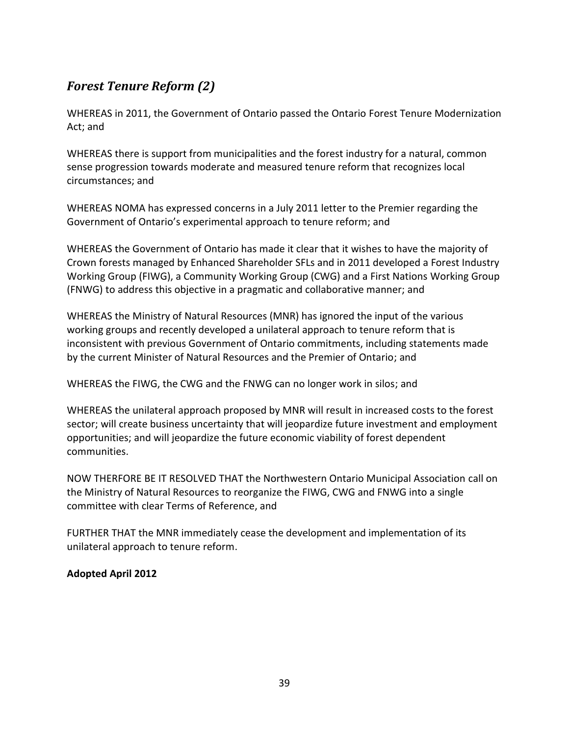# <span id="page-41-0"></span>*Forest Tenure Reform (2)*

WHEREAS in 2011, the Government of Ontario passed the Ontario Forest Tenure Modernization Act; and

WHEREAS there is support from municipalities and the forest industry for a natural, common sense progression towards moderate and measured tenure reform that recognizes local circumstances; and

WHEREAS NOMA has expressed concerns in a July 2011 letter to the Premier regarding the Government of Ontario's experimental approach to tenure reform; and

WHEREAS the Government of Ontario has made it clear that it wishes to have the majority of Crown forests managed by Enhanced Shareholder SFLs and in 2011 developed a Forest Industry Working Group (FIWG), a Community Working Group (CWG) and a First Nations Working Group (FNWG) to address this objective in a pragmatic and collaborative manner; and

WHEREAS the Ministry of Natural Resources (MNR) has ignored the input of the various working groups and recently developed a unilateral approach to tenure reform that is inconsistent with previous Government of Ontario commitments, including statements made by the current Minister of Natural Resources and the Premier of Ontario; and

WHEREAS the FIWG, the CWG and the FNWG can no longer work in silos; and

WHEREAS the unilateral approach proposed by MNR will result in increased costs to the forest sector; will create business uncertainty that will jeopardize future investment and employment opportunities; and will jeopardize the future economic viability of forest dependent communities.

NOW THERFORE BE IT RESOLVED THAT the Northwestern Ontario Municipal Association call on the Ministry of Natural Resources to reorganize the FIWG, CWG and FNWG into a single committee with clear Terms of Reference, and

FURTHER THAT the MNR immediately cease the development and implementation of its unilateral approach to tenure reform.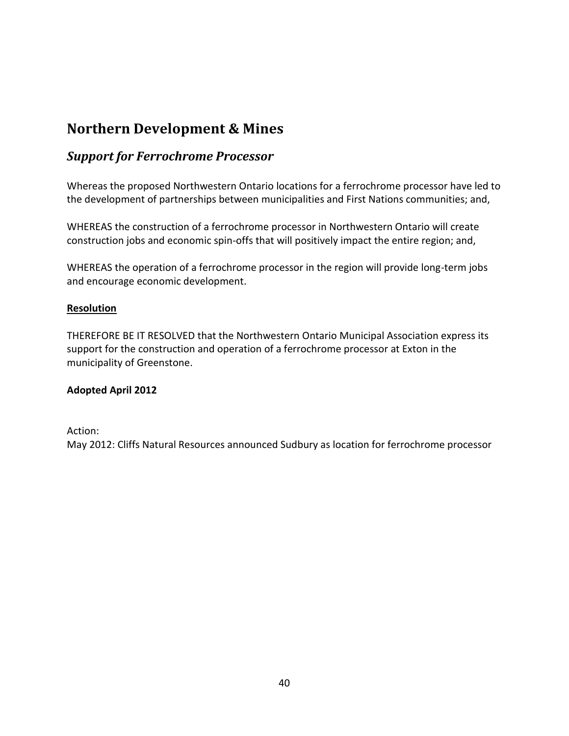# <span id="page-42-0"></span>**Northern Development & Mines**

### <span id="page-42-1"></span>*Support for Ferrochrome Processor*

Whereas the proposed Northwestern Ontario locations for a ferrochrome processor have led to the development of partnerships between municipalities and First Nations communities; and,

WHEREAS the construction of a ferrochrome processor in Northwestern Ontario will create construction jobs and economic spin-offs that will positively impact the entire region; and,

WHEREAS the operation of a ferrochrome processor in the region will provide long-term jobs and encourage economic development.

#### **Resolution**

THEREFORE BE IT RESOLVED that the Northwestern Ontario Municipal Association express its support for the construction and operation of a ferrochrome processor at Exton in the municipality of Greenstone.

#### **Adopted April 2012**

#### Action:

May 2012: Cliffs Natural Resources announced Sudbury as location for ferrochrome processor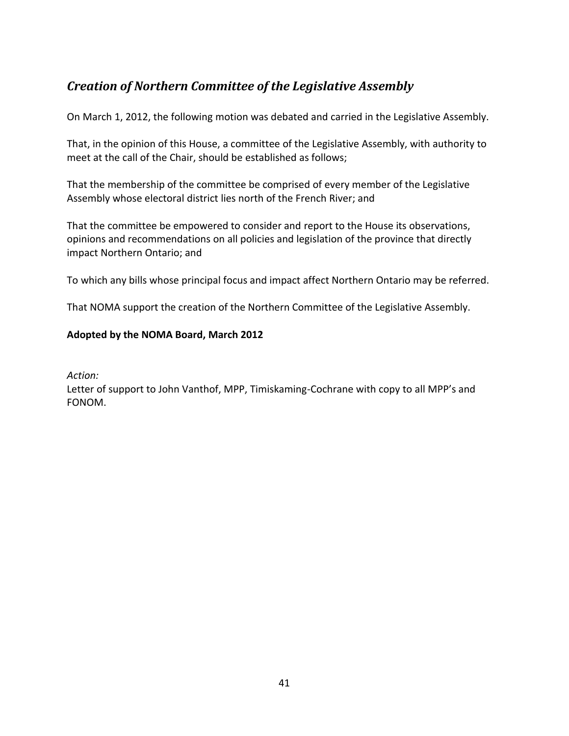# <span id="page-43-0"></span>*Creation of Northern Committee of the Legislative Assembly*

On March 1, 2012, the following motion was debated and carried in the Legislative Assembly.

That, in the opinion of this House, a committee of the Legislative Assembly, with authority to meet at the call of the Chair, should be established as follows;

That the membership of the committee be comprised of every member of the Legislative Assembly whose electoral district lies north of the French River; and

That the committee be empowered to consider and report to the House its observations, opinions and recommendations on all policies and legislation of the province that directly impact Northern Ontario; and

To which any bills whose principal focus and impact affect Northern Ontario may be referred.

That NOMA support the creation of the Northern Committee of the Legislative Assembly.

### **Adopted by the NOMA Board, March 2012**

*Action:*

<span id="page-43-1"></span>Letter of support to John Vanthof, MPP, Timiskaming-Cochrane with copy to all MPP's and FONOM.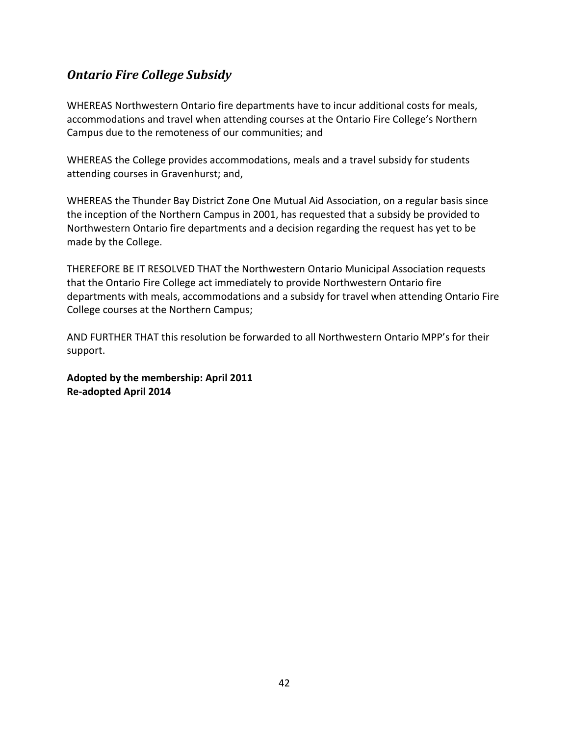# *Ontario Fire College Subsidy*

WHEREAS Northwestern Ontario fire departments have to incur additional costs for meals, accommodations and travel when attending courses at the Ontario Fire College's Northern Campus due to the remoteness of our communities; and

WHEREAS the College provides accommodations, meals and a travel subsidy for students attending courses in Gravenhurst; and,

WHEREAS the Thunder Bay District Zone One Mutual Aid Association, on a regular basis since the inception of the Northern Campus in 2001, has requested that a subsidy be provided to Northwestern Ontario fire departments and a decision regarding the request has yet to be made by the College.

THEREFORE BE IT RESOLVED THAT the Northwestern Ontario Municipal Association requests that the Ontario Fire College act immediately to provide Northwestern Ontario fire departments with meals, accommodations and a subsidy for travel when attending Ontario Fire College courses at the Northern Campus;

AND FURTHER THAT this resolution be forwarded to all Northwestern Ontario MPP's for their support.

**Adopted by the membership: April 2011 Re-adopted April 2014**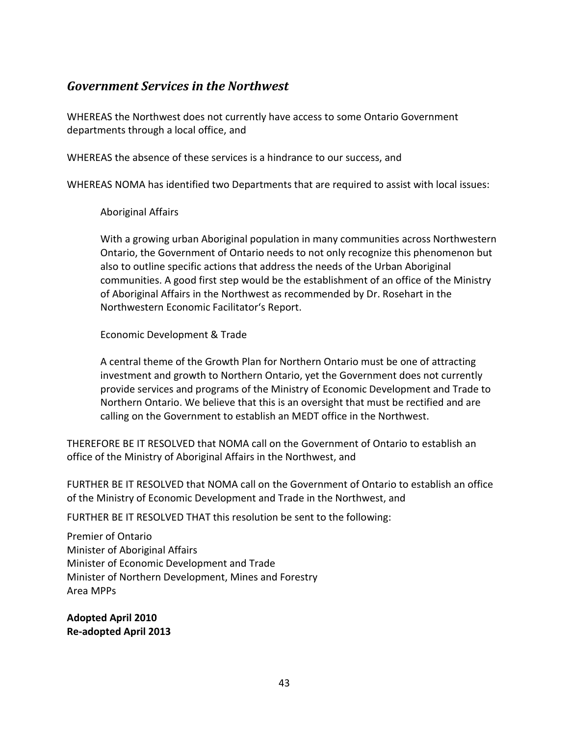### <span id="page-45-0"></span>*Government Services in the Northwest*

WHEREAS the Northwest does not currently have access to some Ontario Government departments through a local office, and

WHEREAS the absence of these services is a hindrance to our success, and

WHEREAS NOMA has identified two Departments that are required to assist with local issues:

Aboriginal Affairs

With a growing urban Aboriginal population in many communities across Northwestern Ontario, the Government of Ontario needs to not only recognize this phenomenon but also to outline specific actions that address the needs of the Urban Aboriginal communities. A good first step would be the establishment of an office of the Ministry of Aboriginal Affairs in the Northwest as recommended by Dr. Rosehart in the Northwestern Economic Facilitator's Report.

Economic Development & Trade

A central theme of the Growth Plan for Northern Ontario must be one of attracting investment and growth to Northern Ontario, yet the Government does not currently provide services and programs of the Ministry of Economic Development and Trade to Northern Ontario. We believe that this is an oversight that must be rectified and are calling on the Government to establish an MEDT office in the Northwest.

THEREFORE BE IT RESOLVED that NOMA call on the Government of Ontario to establish an office of the Ministry of Aboriginal Affairs in the Northwest, and

FURTHER BE IT RESOLVED that NOMA call on the Government of Ontario to establish an office of the Ministry of Economic Development and Trade in the Northwest, and

FURTHER BE IT RESOLVED THAT this resolution be sent to the following:

Premier of Ontario Minister of Aboriginal Affairs Minister of Economic Development and Trade Minister of Northern Development, Mines and Forestry Area MPPs

**Adopted April 2010 Re-adopted April 2013**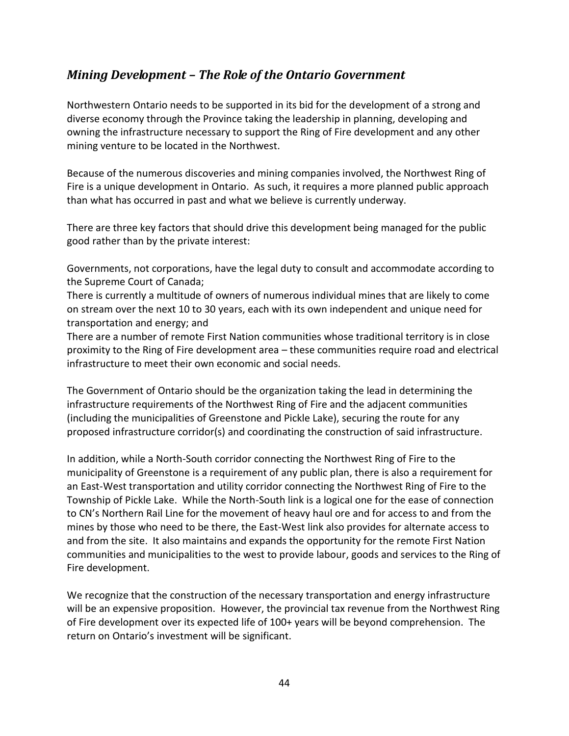# *Mining Development – The Role of the Ontario Government*

Northwestern Ontario needs to be supported in its bid for the development of a strong and diverse economy through the Province taking the leadership in planning, developing and owning the infrastructure necessary to support the Ring of Fire development and any other mining venture to be located in the Northwest.

Because of the numerous discoveries and mining companies involved, the Northwest Ring of Fire is a unique development in Ontario. As such, it requires a more planned public approach than what has occurred in past and what we believe is currently underway.

There are three key factors that should drive this development being managed for the public good rather than by the private interest:

Governments, not corporations, have the legal duty to consult and accommodate according to the Supreme Court of Canada;

There is currently a multitude of owners of numerous individual mines that are likely to come on stream over the next 10 to 30 years, each with its own independent and unique need for transportation and energy; and

There are a number of remote First Nation communities whose traditional territory is in close proximity to the Ring of Fire development area – these communities require road and electrical infrastructure to meet their own economic and social needs.

The Government of Ontario should be the organization taking the lead in determining the infrastructure requirements of the Northwest Ring of Fire and the adjacent communities (including the municipalities of Greenstone and Pickle Lake), securing the route for any proposed infrastructure corridor(s) and coordinating the construction of said infrastructure.

In addition, while a North-South corridor connecting the Northwest Ring of Fire to the municipality of Greenstone is a requirement of any public plan, there is also a requirement for an East-West transportation and utility corridor connecting the Northwest Ring of Fire to the Township of Pickle Lake. While the North-South link is a logical one for the ease of connection to CN's Northern Rail Line for the movement of heavy haul ore and for access to and from the mines by those who need to be there, the East-West link also provides for alternate access to and from the site. It also maintains and expands the opportunity for the remote First Nation communities and municipalities to the west to provide labour, goods and services to the Ring of Fire development.

We recognize that the construction of the necessary transportation and energy infrastructure will be an expensive proposition. However, the provincial tax revenue from the Northwest Ring of Fire development over its expected life of 100+ years will be beyond comprehension. The return on Ontario's investment will be significant.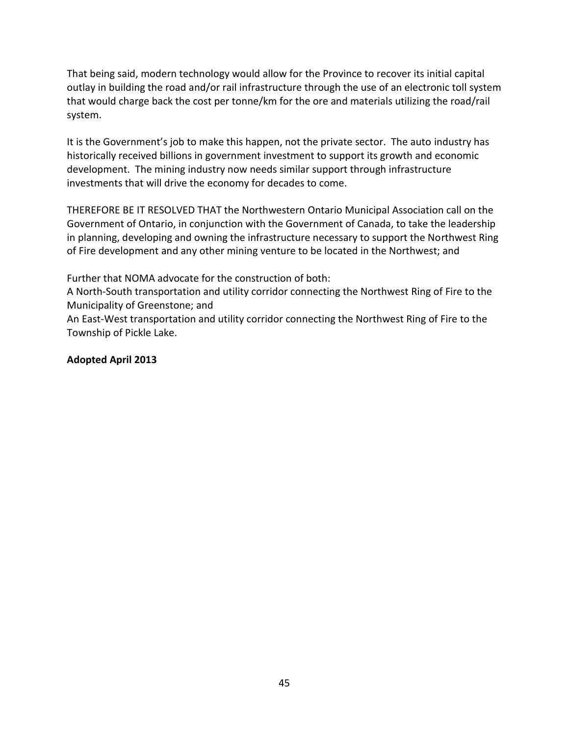That being said, modern technology would allow for the Province to recover its initial capital outlay in building the road and/or rail infrastructure through the use of an electronic toll system that would charge back the cost per tonne/km for the ore and materials utilizing the road/rail system.

It is the Government's job to make this happen, not the private sector. The auto industry has historically received billions in government investment to support its growth and economic development. The mining industry now needs similar support through infrastructure investments that will drive the economy for decades to come.

THEREFORE BE IT RESOLVED THAT the Northwestern Ontario Municipal Association call on the Government of Ontario, in conjunction with the Government of Canada, to take the leadership in planning, developing and owning the infrastructure necessary to support the Northwest Ring of Fire development and any other mining venture to be located in the Northwest; and

Further that NOMA advocate for the construction of both:

A North-South transportation and utility corridor connecting the Northwest Ring of Fire to the Municipality of Greenstone; and

An East-West transportation and utility corridor connecting the Northwest Ring of Fire to the Township of Pickle Lake.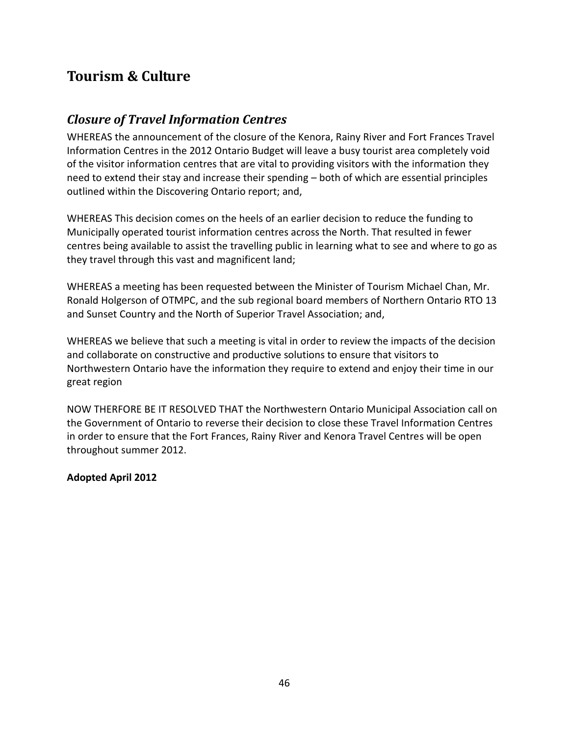# **Tourism & Culture**

### <span id="page-48-0"></span>*Closure of Travel Information Centres*

WHEREAS the announcement of the closure of the Kenora, Rainy River and Fort Frances Travel Information Centres in the 2012 Ontario Budget will leave a busy tourist area completely void of the visitor information centres that are vital to providing visitors with the information they need to extend their stay and increase their spending – both of which are essential principles outlined within the Discovering Ontario report; and,

WHEREAS This decision comes on the heels of an earlier decision to reduce the funding to Municipally operated tourist information centres across the North. That resulted in fewer centres being available to assist the travelling public in learning what to see and where to go as they travel through this vast and magnificent land;

WHEREAS a meeting has been requested between the Minister of Tourism Michael Chan, Mr. Ronald Holgerson of OTMPC, and the sub regional board members of Northern Ontario RTO 13 and Sunset Country and the North of Superior Travel Association; and,

WHEREAS we believe that such a meeting is vital in order to review the impacts of the decision and collaborate on constructive and productive solutions to ensure that visitors to Northwestern Ontario have the information they require to extend and enjoy their time in our great region

NOW THERFORE BE IT RESOLVED THAT the Northwestern Ontario Municipal Association call on the Government of Ontario to reverse their decision to close these Travel Information Centres in order to ensure that the Fort Frances, Rainy River and Kenora Travel Centres will be open throughout summer 2012.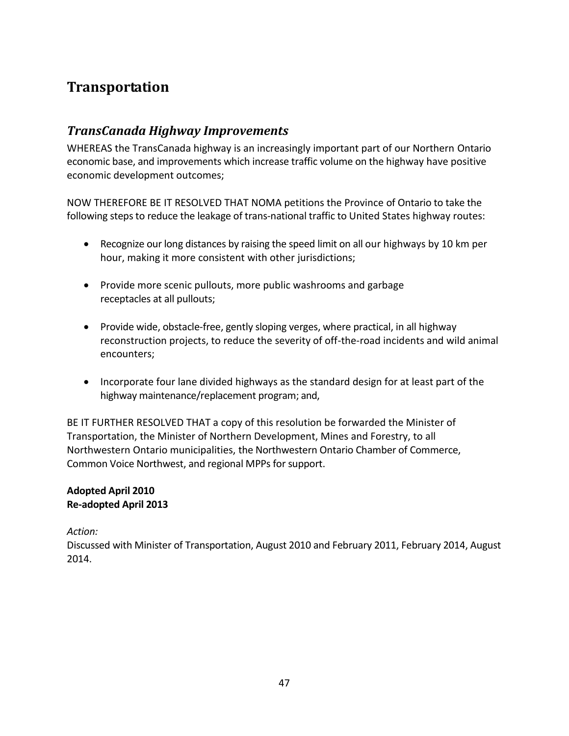# <span id="page-49-0"></span>**Transportation**

### <span id="page-49-1"></span>*TransCanada Highway Improvements*

WHEREAS the TransCanada highway is an increasingly important part of our Northern Ontario economic base, and improvements which increase traffic volume on the highway have positive economic development outcomes;

NOW THEREFORE BE IT RESOLVED THAT NOMA petitions the Province of Ontario to take the following steps to reduce the leakage of trans-national traffic to United States highway routes:

- Recognize our long distances by raising the speed limit on all our highways by 10 km per hour, making it more consistent with other jurisdictions;
- Provide more scenic pullouts, more public washrooms and garbage receptacles at all pullouts;
- Provide wide, obstacle-free, gently sloping verges, where practical, in all highway reconstruction projects, to reduce the severity of off-the-road incidents and wild animal encounters;
- Incorporate four lane divided highways as the standard design for at least part of the highway maintenance/replacement program; and,

BE IT FURTHER RESOLVED THAT a copy of this resolution be forwarded the Minister of Transportation, the Minister of Northern Development, Mines and Forestry, to all Northwestern Ontario municipalities, the Northwestern Ontario Chamber of Commerce, Common Voice Northwest, and regional MPPs for support.

### **Adopted April 2010 Re-adopted April 2013**

### *Action:*

Discussed with Minister of Transportation, August 2010 and February 2011, February 2014, August 2014.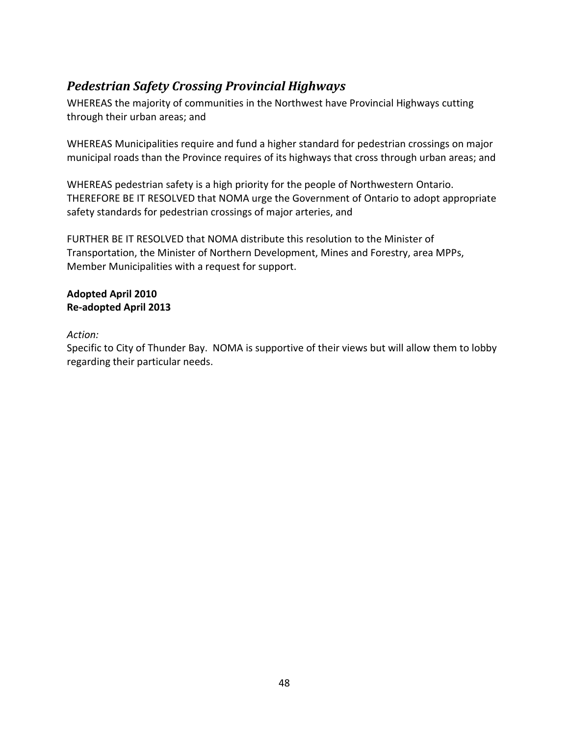# <span id="page-50-0"></span>*Pedestrian Safety Crossing Provincial Highways*

WHEREAS the majority of communities in the Northwest have Provincial Highways cutting through their urban areas; and

WHEREAS Municipalities require and fund a higher standard for pedestrian crossings on major municipal roads than the Province requires of its highways that cross through urban areas; and

WHEREAS pedestrian safety is a high priority for the people of Northwestern Ontario. THEREFORE BE IT RESOLVED that NOMA urge the Government of Ontario to adopt appropriate safety standards for pedestrian crossings of major arteries, and

FURTHER BE IT RESOLVED that NOMA distribute this resolution to the Minister of Transportation, the Minister of Northern Development, Mines and Forestry, area MPPs, Member Municipalities with a request for support.

### **Adopted April 2010 Re-adopted April 2013**

### *Action:*

Specific to City of Thunder Bay. NOMA is supportive of their views but will allow them to lobby regarding their particular needs.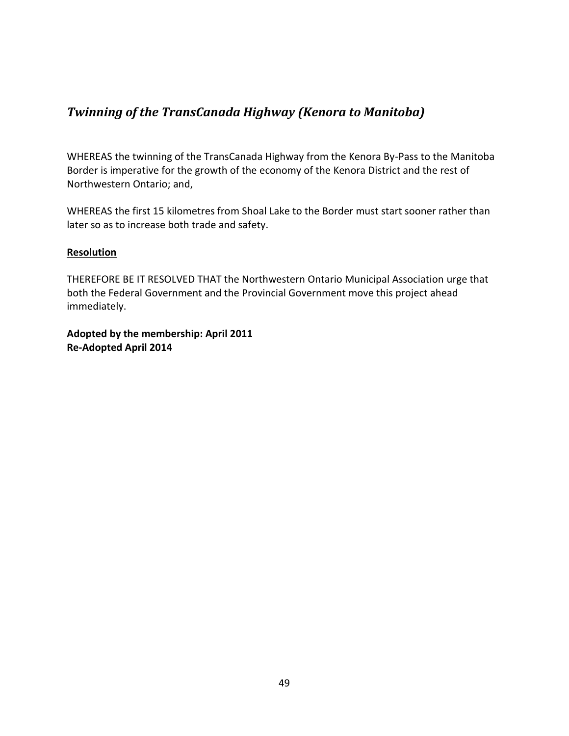# <span id="page-51-0"></span>*Twinning of the TransCanada Highway (Kenora to Manitoba)*

WHEREAS the twinning of the TransCanada Highway from the Kenora By-Pass to the Manitoba Border is imperative for the growth of the economy of the Kenora District and the rest of Northwestern Ontario; and,

WHEREAS the first 15 kilometres from Shoal Lake to the Border must start sooner rather than later so as to increase both trade and safety.

### **Resolution**

THEREFORE BE IT RESOLVED THAT the Northwestern Ontario Municipal Association urge that both the Federal Government and the Provincial Government move this project ahead immediately.

**Adopted by the membership: April 2011 Re-Adopted April 2014**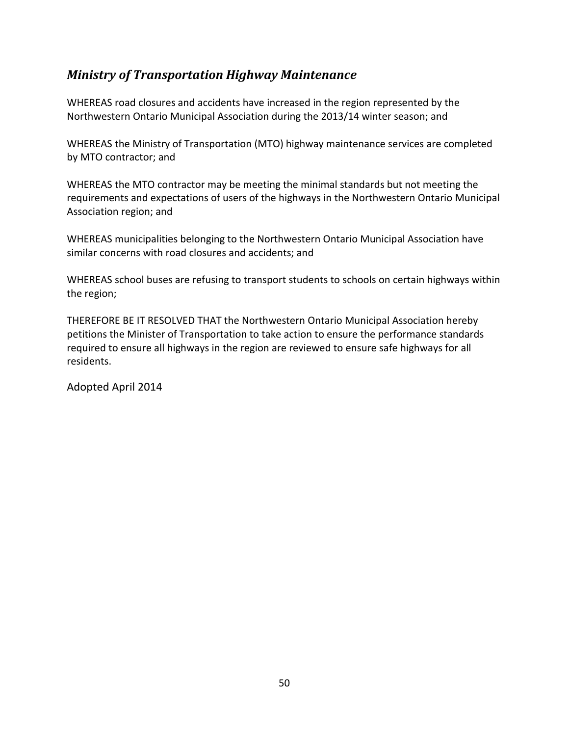# *Ministry of Transportation Highway Maintenance*

WHEREAS road closures and accidents have increased in the region represented by the Northwestern Ontario Municipal Association during the 2013/14 winter season; and

WHEREAS the Ministry of Transportation (MTO) highway maintenance services are completed by MTO contractor; and

WHEREAS the MTO contractor may be meeting the minimal standards but not meeting the requirements and expectations of users of the highways in the Northwestern Ontario Municipal Association region; and

WHEREAS municipalities belonging to the Northwestern Ontario Municipal Association have similar concerns with road closures and accidents; and

WHEREAS school buses are refusing to transport students to schools on certain highways within the region;

THEREFORE BE IT RESOLVED THAT the Northwestern Ontario Municipal Association hereby petitions the Minister of Transportation to take action to ensure the performance standards required to ensure all highways in the region are reviewed to ensure safe highways for all residents.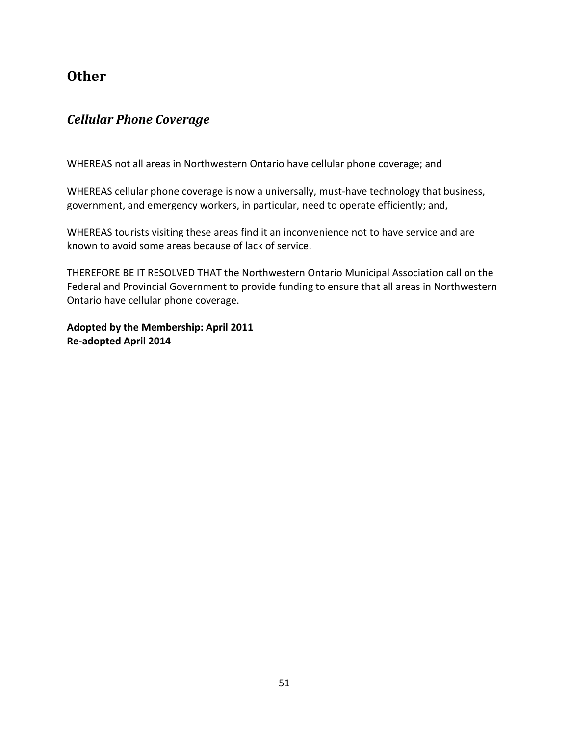# **Other**

### <span id="page-53-0"></span>*Cellular Phone Coverage*

WHEREAS not all areas in Northwestern Ontario have cellular phone coverage; and

WHEREAS cellular phone coverage is now a universally, must-have technology that business, government, and emergency workers, in particular, need to operate efficiently; and,

WHEREAS tourists visiting these areas find it an inconvenience not to have service and are known to avoid some areas because of lack of service.

THEREFORE BE IT RESOLVED THAT the Northwestern Ontario Municipal Association call on the Federal and Provincial Government to provide funding to ensure that all areas in Northwestern Ontario have cellular phone coverage.

**Adopted by the Membership: April 2011 Re-adopted April 2014**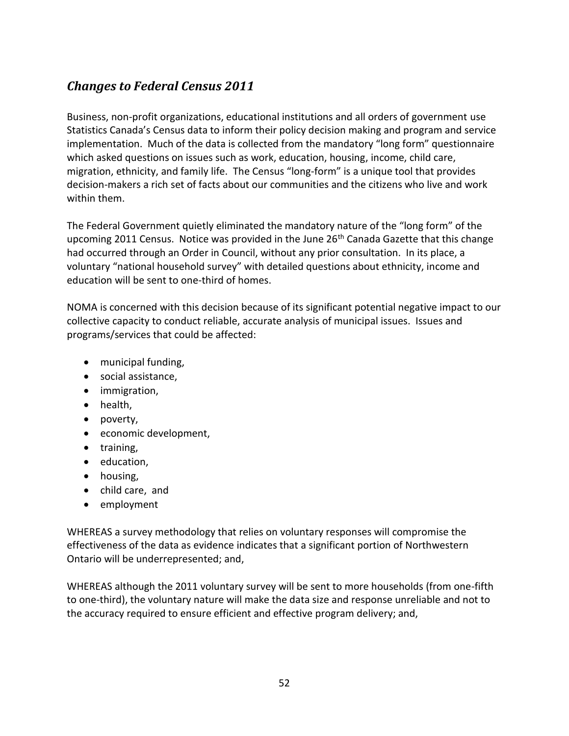# <span id="page-54-0"></span>*Changes to Federal Census 2011*

Business, non-profit organizations, educational institutions and all orders of government use Statistics Canada's Census data to inform their policy decision making and program and service implementation. Much of the data is collected from the mandatory "long form" questionnaire which asked questions on issues such as work, education, housing, income, child care, migration, ethnicity, and family life. The Census "long-form" is a unique tool that provides decision-makers a rich set of facts about our communities and the citizens who live and work within them.

The Federal Government quietly eliminated the mandatory nature of the "long form" of the upcoming 2011 Census. Notice was provided in the June  $26<sup>th</sup>$  Canada Gazette that this change had occurred through an Order in Council, without any prior consultation. In its place, a voluntary "national household survey" with detailed questions about ethnicity, income and education will be sent to one-third of homes.

NOMA is concerned with this decision because of its significant potential negative impact to our collective capacity to conduct reliable, accurate analysis of municipal issues. Issues and programs/services that could be affected:

- municipal funding,
- social assistance,
- immigration,
- health,
- poverty,
- economic development,
- training,
- education,
- housing,
- child care, and
- employment

WHEREAS a survey methodology that relies on voluntary responses will compromise the effectiveness of the data as evidence indicates that a significant portion of Northwestern Ontario will be underrepresented; and,

WHEREAS although the 2011 voluntary survey will be sent to more households (from one-fifth to one-third), the voluntary nature will make the data size and response unreliable and not to the accuracy required to ensure efficient and effective program delivery; and,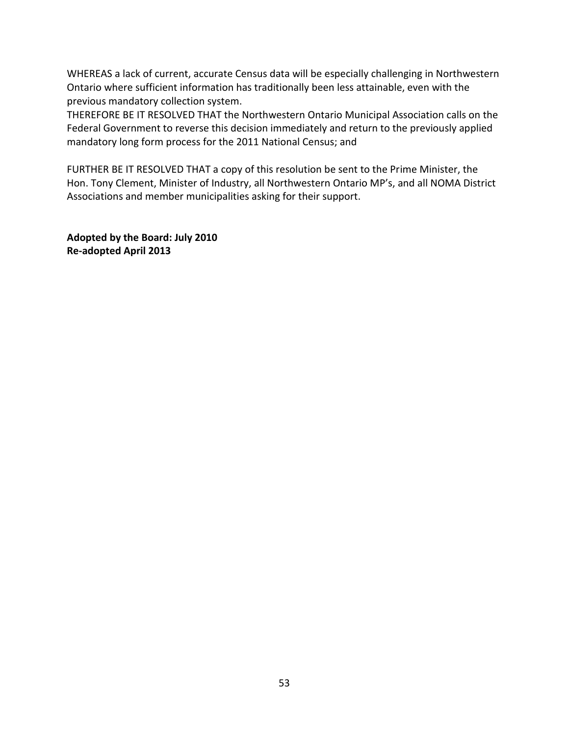WHEREAS a lack of current, accurate Census data will be especially challenging in Northwestern Ontario where sufficient information has traditionally been less attainable, even with the previous mandatory collection system.

THEREFORE BE IT RESOLVED THAT the Northwestern Ontario Municipal Association calls on the Federal Government to reverse this decision immediately and return to the previously applied mandatory long form process for the 2011 National Census; and

FURTHER BE IT RESOLVED THAT a copy of this resolution be sent to the Prime Minister, the Hon. Tony Clement, Minister of Industry, all Northwestern Ontario MP's, and all NOMA District Associations and member municipalities asking for their support.

**Adopted by the Board: July 2010 Re-adopted April 2013**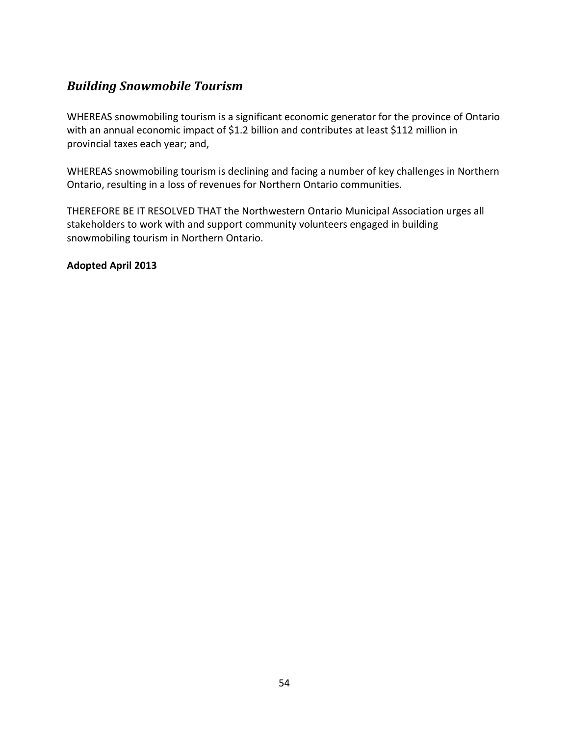# <span id="page-56-0"></span>*Building Snowmobile Tourism*

WHEREAS snowmobiling tourism is a significant economic generator for the province of Ontario with an annual economic impact of \$1.2 billion and contributes at least \$112 million in provincial taxes each year; and,

WHEREAS snowmobiling tourism is declining and facing a number of key challenges in Northern Ontario, resulting in a loss of revenues for Northern Ontario communities.

THEREFORE BE IT RESOLVED THAT the Northwestern Ontario Municipal Association urges all stakeholders to work with and support community volunteers engaged in building snowmobiling tourism in Northern Ontario.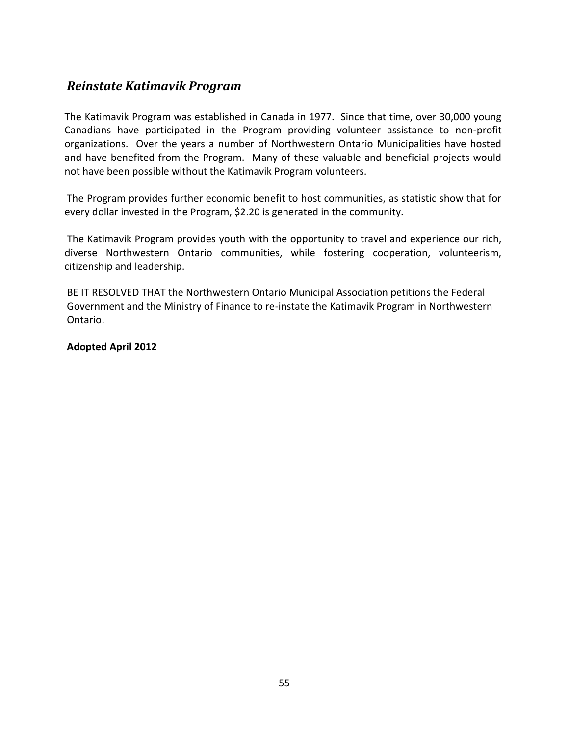### <span id="page-57-0"></span>*Reinstate Katimavik Program*

The Katimavik Program was established in Canada in 1977. Since that time, over 30,000 young Canadians have participated in the Program providing volunteer assistance to non-profit organizations. Over the years a number of Northwestern Ontario Municipalities have hosted and have benefited from the Program. Many of these valuable and beneficial projects would not have been possible without the Katimavik Program volunteers.

The Program provides further economic benefit to host communities, as statistic show that for every dollar invested in the Program, \$2.20 is generated in the community.

The Katimavik Program provides youth with the opportunity to travel and experience our rich, diverse Northwestern Ontario communities, while fostering cooperation, volunteerism, citizenship and leadership.

BE IT RESOLVED THAT the Northwestern Ontario Municipal Association petitions the Federal Government and the Ministry of Finance to re-instate the Katimavik Program in Northwestern Ontario.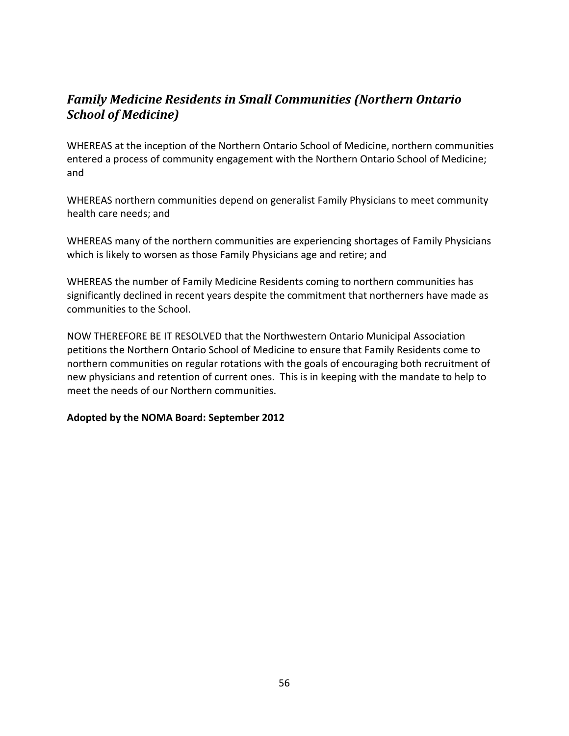# <span id="page-58-0"></span>*Family Medicine Residents in Small Communities (Northern Ontario School of Medicine)*

WHEREAS at the inception of the Northern Ontario School of Medicine, northern communities entered a process of community engagement with the Northern Ontario School of Medicine; and

WHEREAS northern communities depend on generalist Family Physicians to meet community health care needs; and

WHEREAS many of the northern communities are experiencing shortages of Family Physicians which is likely to worsen as those Family Physicians age and retire; and

WHEREAS the number of Family Medicine Residents coming to northern communities has significantly declined in recent years despite the commitment that northerners have made as communities to the School.

NOW THEREFORE BE IT RESOLVED that the Northwestern Ontario Municipal Association petitions the Northern Ontario School of Medicine to ensure that Family Residents come to northern communities on regular rotations with the goals of encouraging both recruitment of new physicians and retention of current ones. This is in keeping with the mandate to help to meet the needs of our Northern communities.

#### **Adopted by the NOMA Board: September 2012**